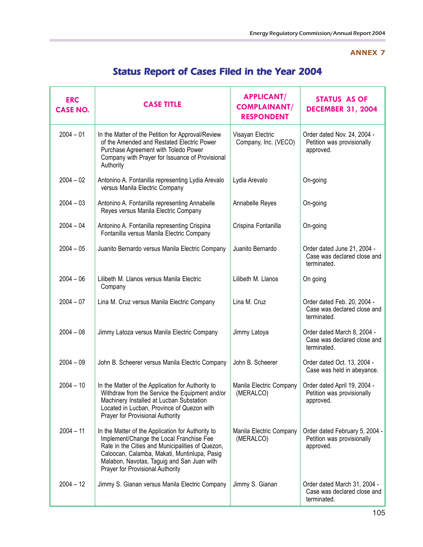## **ANNEX 7**

## Status Report of Cases Filed in the Year 2004

| <b>ERC</b><br><b>CASE NO.</b> | <b>CASE TITLE</b>                                                                                                                                                                                                                                                                   | <b>APPLICANT/</b><br><b>COMPLAINANT/</b><br><b>RESPONDENT</b> | STATUS AS OF<br><b>DECEMBER 31, 2004</b>                                   |
|-------------------------------|-------------------------------------------------------------------------------------------------------------------------------------------------------------------------------------------------------------------------------------------------------------------------------------|---------------------------------------------------------------|----------------------------------------------------------------------------|
| $2004 - 01$                   | In the Matter of the Petition for Approval/Review<br>of the Amended and Restated Electric Power<br>Purchase Agreement with Toledo Power<br>Company with Prayer for Issuance of Provisional<br>Authority                                                                             | Visayan Electric<br>Company, Inc. (VECO)                      | Order dated Nov. 24, 2004 -<br>Petition was provisionally<br>approved.     |
| $2004 - 02$                   | Antonino A. Fontanilla representing Lydia Arevalo<br>versus Manila Electric Company                                                                                                                                                                                                 | Lydia Arevalo                                                 | On-going                                                                   |
| $2004 - 03$                   | Antonino A. Fontanilla representing Annabelle<br>Reyes versus Manila Electric Company                                                                                                                                                                                               | Annabelle Reyes                                               | On-going                                                                   |
| $2004 - 04$                   | Antonino A. Fontanilla representing Crispina<br>Fontanilla versus Manila Electric Company                                                                                                                                                                                           | Crispina Fontanilla                                           | On-going                                                                   |
| $2004 - 05$                   | Juanito Bernardo versus Manila Electric Company                                                                                                                                                                                                                                     | Juanito Bernardo                                              | Order dated June 21, 2004 -<br>Case was declared close and<br>terminated.  |
| $2004 - 06$                   | Lilibeth M. Llanos versus Manila Electric<br>Company                                                                                                                                                                                                                                | Lilibeth M. Llanos                                            | On going                                                                   |
| $2004 - 07$                   | Lina M. Cruz versus Manila Electric Company                                                                                                                                                                                                                                         | Lina M. Cruz                                                  | Order dated Feb. 20, 2004 -<br>Case was declared close and<br>terminated.  |
| $2004 - 08$                   | Jimmy Latoza versus Manila Electric Company                                                                                                                                                                                                                                         | Jimmy Latoya                                                  | Order dated March 8, 2004 -<br>Case was declared close and<br>terminated.  |
| $2004 - 09$                   | John B. Scheerer versus Manila Electric Company                                                                                                                                                                                                                                     | John B. Scheerer                                              | Order dated Oct. 13, 2004 -<br>Case was held in abeyance.                  |
| $2004 - 10$                   | In the Matter of the Application for Authority to<br>Withdraw from the Service the Equipment and/or<br>Machinery Installed at Lucban Substation<br>Located in Lucban, Province of Quezon with<br>Prayer for Provisional Authority                                                   | Manila Electric Company<br>(MERALCO)                          | Order dated April 19, 2004 -<br>Petition was provisionally<br>approved.    |
| $2004 - 11$                   | In the Matter of the Application for Authority to<br>Implement/Change the Local Franchise Fee<br>Rate in the Cities and Municipalities of Quezon,<br>Caloocan, Calamba, Makati, Muntinlupa, Pasig<br>Malabon, Navotas, Taguig and San Juan with<br>Prayer for Provisional Authority | Manila Electric Company<br>(MERALCO)                          | Order dated February 5, 2004 -<br>Petition was provisionally<br>approved.  |
| $2004 - 12$                   | Jimmy S. Gianan versus Manila Electric Company                                                                                                                                                                                                                                      | Jimmy S. Gianan                                               | Order dated March 31, 2004 -<br>Case was declared close and<br>terminated. |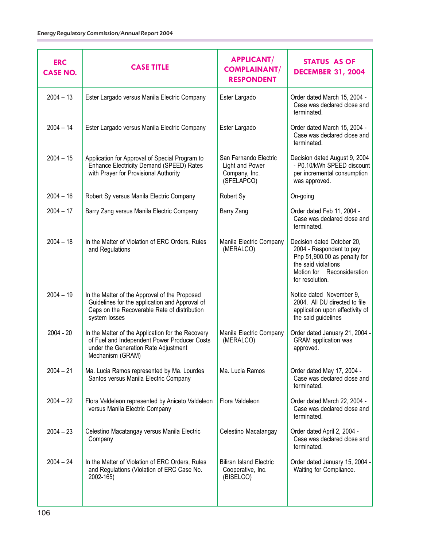| <b>ERC</b><br><b>CASE NO.</b> | <b>CASE TITLE</b>                                                                                                                                                | <b>APPLICANT/</b><br><b>COMPLAINANT/</b><br><b>RESPONDENT</b>           | <b>STATUS AS OF</b><br><b>DECEMBER 31, 2004</b>                                                                                                                |
|-------------------------------|------------------------------------------------------------------------------------------------------------------------------------------------------------------|-------------------------------------------------------------------------|----------------------------------------------------------------------------------------------------------------------------------------------------------------|
| $2004 - 13$                   | Ester Largado versus Manila Electric Company                                                                                                                     | Ester Largado                                                           | Order dated March 15, 2004 -<br>Case was declared close and<br>terminated.                                                                                     |
| $2004 - 14$                   | Ester Largado versus Manila Electric Company                                                                                                                     | Ester Largado                                                           | Order dated March 15, 2004 -<br>Case was declared close and<br>terminated.                                                                                     |
| $2004 - 15$                   | Application for Approval of Special Program to<br>Enhance Electricity Demand (SPEED) Rates<br>with Prayer for Provisional Authority                              | San Fernando Electric<br>Light and Power<br>Company, Inc.<br>(SFELAPCO) | Decision dated August 9, 2004<br>- P0.10/kWh SPEED discount<br>per incremental consumption<br>was approved.                                                    |
| $2004 - 16$                   | Robert Sy versus Manila Electric Company                                                                                                                         | Robert Sy                                                               | On-going                                                                                                                                                       |
| $2004 - 17$                   | Barry Zang versus Manila Electric Company                                                                                                                        | Barry Zang                                                              | Order dated Feb 11, 2004 -<br>Case was declared close and<br>terminated.                                                                                       |
| $2004 - 18$                   | In the Matter of Violation of ERC Orders, Rules<br>and Regulations                                                                                               | Manila Electric Company<br>(MERALCO)                                    | Decision dated October 20,<br>2004 - Respondent to pay<br>Php 51,900.00 as penalty for<br>the said violations<br>Motion for Reconsideration<br>for resolution. |
| $2004 - 19$                   | In the Matter of the Approval of the Proposed<br>Guidelines for the application and Approval of<br>Caps on the Recoverable Rate of distribution<br>system losses |                                                                         | Notice dated November 9,<br>2004. All DU directed to file<br>application upon effectivity of<br>the said guidelines                                            |
| $2004 - 20$                   | In the Matter of the Application for the Recovery<br>of Fuel and Independent Power Producer Costs<br>under the Generation Rate Adjustment<br>Mechanism (GRAM)    | Manila Electric Company<br>(MERALCO)                                    | Order dated January 21, 2004 -<br><b>GRAM</b> application was<br>approved.                                                                                     |
| $2004 - 21$                   | Ma. Lucia Ramos represented by Ma. Lourdes<br>Santos versus Manila Electric Company                                                                              | Ma. Lucia Ramos                                                         | Order dated May 17, 2004 -<br>Case was declared close and<br>terminated.                                                                                       |
| $2004 - 22$                   | Flora Valdeleon represented by Aniceto Valdeleon<br>versus Manila Electric Company                                                                               | Flora Valdeleon                                                         | Order dated March 22, 2004 -<br>Case was declared close and<br>terminated.                                                                                     |
| $2004 - 23$                   | Celestino Macatangay versus Manila Electric<br>Company                                                                                                           | Celestino Macatangay                                                    | Order dated April 2, 2004 -<br>Case was declared close and<br>terminated.                                                                                      |
| $2004 - 24$                   | In the Matter of Violation of ERC Orders, Rules<br>and Regulations (Violation of ERC Case No.<br>2002-165)                                                       | <b>Biliran Island Electric</b><br>Cooperative, Inc.<br>(BISELCO)        | Order dated January 15, 2004 -<br>Waiting for Compliance.                                                                                                      |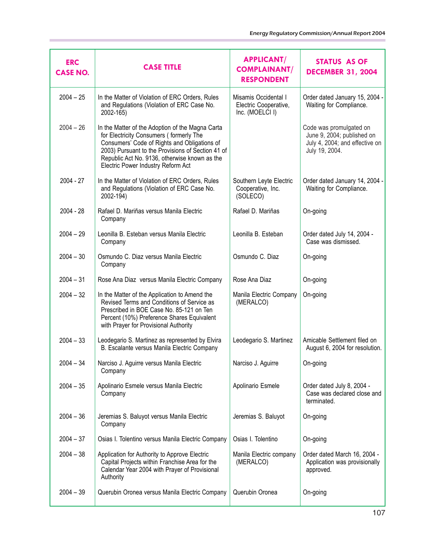| <b>ERC</b><br><b>CASE NO.</b> | <b>CASE TITLE</b>                                                                                                                                                                                                                                                                       | <b>APPLICANT/</b><br><b>COMPLAINANT/</b><br><b>RESPONDENT</b>    | STATUS AS OF<br><b>DECEMBER 31, 2004</b>                                                                  |
|-------------------------------|-----------------------------------------------------------------------------------------------------------------------------------------------------------------------------------------------------------------------------------------------------------------------------------------|------------------------------------------------------------------|-----------------------------------------------------------------------------------------------------------|
| $2004 - 25$                   | In the Matter of Violation of ERC Orders, Rules<br>and Regulations (Violation of ERC Case No.<br>2002-165)                                                                                                                                                                              | Misamis Occidental I<br>Electric Cooperative,<br>Inc. (MOELCI I) | Order dated January 15, 2004 -<br>Waiting for Compliance.                                                 |
| $2004 - 26$                   | In the Matter of the Adoption of the Magna Carta<br>for Electricity Consumers (formerly The<br>Consumers' Code of Rights and Obligations of<br>2003) Pursuant to the Provisions of Section 41 of<br>Republic Act No. 9136, otherwise known as the<br>Electric Power Industry Reform Act |                                                                  | Code was promulgated on<br>June 9, 2004; published on<br>July 4, 2004; and effective on<br>July 19, 2004. |
| $2004 - 27$                   | In the Matter of Violation of ERC Orders, Rules<br>and Regulations (Violation of ERC Case No.<br>2002-194)                                                                                                                                                                              | Southern Leyte Electric<br>Cooperative, Inc.<br>(SOLECO)         | Order dated January 14, 2004 -<br>Waiting for Compliance.                                                 |
| $2004 - 28$                   | Rafael D. Mariñas versus Manila Electric<br>Company                                                                                                                                                                                                                                     | Rafael D. Mariñas                                                | On-going                                                                                                  |
| $2004 - 29$                   | Leonilla B. Esteban versus Manila Electric<br>Company                                                                                                                                                                                                                                   | Leonilla B. Esteban                                              | Order dated July 14, 2004 -<br>Case was dismissed.                                                        |
| $2004 - 30$                   | Osmundo C. Diaz versus Manila Electric<br>Company                                                                                                                                                                                                                                       | Osmundo C. Diaz                                                  | On-going                                                                                                  |
| $2004 - 31$                   | Rose Ana Diaz versus Manila Electric Company                                                                                                                                                                                                                                            | Rose Ana Diaz                                                    | On-going                                                                                                  |
| $2004 - 32$                   | In the Matter of the Application to Amend the<br>Revised Terms and Conditions of Service as<br>Prescribed in BOE Case No. 85-121 on Ten<br>Percent (10%) Preference Shares Equivalent<br>with Prayer for Provisional Authority                                                          | Manila Electric Company<br>(MERALCO)                             | On-going                                                                                                  |
| $2004 - 33$                   | Leodegario S. Martinez as represented by Elvira<br>B. Escalante versus Manila Electric Company                                                                                                                                                                                          | Leodegario S. Martinez                                           | Amicable Settlement filed on<br>August 6, 2004 for resolution.                                            |
| $2004 - 34$                   | Narciso J. Aguirre versus Manila Electric<br>Company                                                                                                                                                                                                                                    | Narciso J. Aguirre                                               | On-going                                                                                                  |
| $2004 - 35$                   | Apolinario Esmele versus Manila Electric<br>Company                                                                                                                                                                                                                                     | Apolinario Esmele                                                | Order dated July 8, 2004 -<br>Case was declared close and<br>terminated.                                  |
| $2004 - 36$                   | Jeremias S. Baluyot versus Manila Electric<br>Company                                                                                                                                                                                                                                   | Jeremias S. Baluyot                                              | On-going                                                                                                  |
| $2004 - 37$                   | Osias I. Tolentino versus Manila Electric Company                                                                                                                                                                                                                                       | Osias I. Tolentino                                               | On-going                                                                                                  |
| $2004 - 38$                   | Application for Authority to Approve Electric<br>Capital Projects within Franchise Area for the<br>Calendar Year 2004 with Prayer of Provisional<br>Authority                                                                                                                           | Manila Electric company<br>(MERALCO)                             | Order dated March 16, 2004 -<br>Application was provisionally<br>approved.                                |
| $2004 - 39$                   | Querubin Oronea versus Manila Electric Company                                                                                                                                                                                                                                          | Querubin Oronea                                                  | On-going                                                                                                  |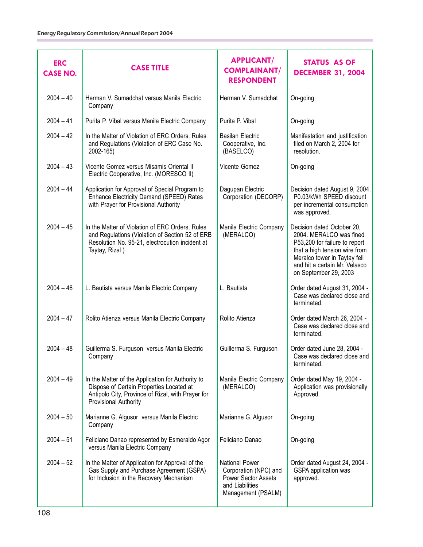| <b>ERC</b><br><b>CASE NO.</b> | <b>CASE TITLE</b>                                                                                                                                                                  | <b>APPLICANT/</b><br><b>COMPLAINANT/</b><br><b>RESPONDENT</b>                                                  | <b>STATUS AS OF</b><br><b>DECEMBER 31, 2004</b>                                                                                                                                                                   |
|-------------------------------|------------------------------------------------------------------------------------------------------------------------------------------------------------------------------------|----------------------------------------------------------------------------------------------------------------|-------------------------------------------------------------------------------------------------------------------------------------------------------------------------------------------------------------------|
| $2004 - 40$                   | Herman V. Sumadchat versus Manila Electric<br>Company                                                                                                                              | Herman V. Sumadchat                                                                                            | On-going                                                                                                                                                                                                          |
| $2004 - 41$                   | Purita P. Vibal versus Manila Electric Company                                                                                                                                     | Purita P. Vibal                                                                                                | On-going                                                                                                                                                                                                          |
| $2004 - 42$                   | In the Matter of Violation of ERC Orders, Rules<br>and Regulations (Violation of ERC Case No.<br>2002-165)                                                                         | <b>Basilan Electric</b><br>Cooperative, Inc.<br>(BASELCO)                                                      | Manifestation and justification<br>filed on March 2, 2004 for<br>resolution.                                                                                                                                      |
| $2004 - 43$                   | Vicente Gomez versus Misamis Oriental II<br>Electric Cooperative, Inc. (MORESCO II)                                                                                                | Vicente Gomez                                                                                                  | On-going                                                                                                                                                                                                          |
| $2004 - 44$                   | Application for Approval of Special Program to<br>Enhance Electricity Demand (SPEED) Rates<br>with Prayer for Provisional Authority                                                | Dagupan Electric<br>Corporation (DECORP)                                                                       | Decision dated August 9, 2004.<br>P0.03/kWh SPEED discount<br>per incremental consumption<br>was approved.                                                                                                        |
| $2004 - 45$                   | In the Matter of Violation of ERC Orders, Rules<br>and Regulations (Violation of Section 52 of ERB<br>Resolution No. 95-21, electrocution incident at<br>Taytay, Rizal)            | Manila Electric Company<br>(MERALCO)                                                                           | Decision dated October 20,<br>2004. MERALCO was fined<br>P53,200 for failure to report<br>that a high tension wire from<br>Meralco tower in Taytay fell<br>and hit a certain Mr. Velasco<br>on September 29, 2003 |
| $2004 - 46$                   | L. Bautista versus Manila Electric Company                                                                                                                                         | L. Bautista                                                                                                    | Order dated August 31, 2004 -<br>Case was declared close and<br>terminated.                                                                                                                                       |
| $2004 - 47$                   | Rolito Atienza versus Manila Electric Company                                                                                                                                      | Rolito Atienza                                                                                                 | Order dated March 26, 2004 -<br>Case was declared close and<br>terminated.                                                                                                                                        |
| $2004 - 48$                   | Guillerma S. Furguson versus Manila Electric<br>Company                                                                                                                            | Guillerma S. Furguson                                                                                          | Order dated June 28, 2004 -<br>Case was declared close and<br>terminated.                                                                                                                                         |
| $2004 - 49$                   | In the Matter of the Application for Authority to<br>Dispose of Certain Properties Located at<br>Antipolo City, Province of Rizal, with Prayer for<br><b>Provisional Authority</b> | Manila Electric Company<br>(MERALCO)                                                                           | Order dated May 19, 2004 -<br>Application was provisionally<br>Approved.                                                                                                                                          |
| $2004 - 50$                   | Marianne G. Algusor versus Manila Electric<br>Company                                                                                                                              | Marianne G. Algusor                                                                                            | On-going                                                                                                                                                                                                          |
| $2004 - 51$                   | Feliciano Danao represented by Esmeraldo Agor<br>versus Manila Electric Company                                                                                                    | Feliciano Danao                                                                                                | On-going                                                                                                                                                                                                          |
| $2004 - 52$                   | In the Matter of Application for Approval of the<br>Gas Supply and Purchase Agreement (GSPA)<br>for Inclusion in the Recovery Mechanism                                            | <b>National Power</b><br>Corporation (NPC) and<br>Power Sector Assets<br>and Liabilities<br>Management (PSALM) | Order dated August 24, 2004 -<br>GSPA application was<br>approved.                                                                                                                                                |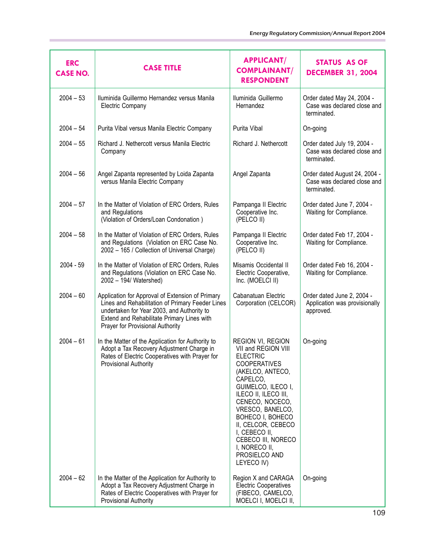| <b>ERC</b><br><b>CASE NO.</b> | <b>CASE TITLE</b>                                                                                                                                                                                                                    | <b>APPLICANT/</b><br><b>COMPLAINANT/</b><br><b>RESPONDENT</b>                                                                                                                                                                                                                                                                            | <b>STATUS AS OF</b><br><b>DECEMBER 31, 2004</b>                             |
|-------------------------------|--------------------------------------------------------------------------------------------------------------------------------------------------------------------------------------------------------------------------------------|------------------------------------------------------------------------------------------------------------------------------------------------------------------------------------------------------------------------------------------------------------------------------------------------------------------------------------------|-----------------------------------------------------------------------------|
| $2004 - 53$                   | Iluminida Guillermo Hernandez versus Manila<br><b>Electric Company</b>                                                                                                                                                               | Iluminida Guillermo<br>Hernandez                                                                                                                                                                                                                                                                                                         | Order dated May 24, 2004 -<br>Case was declared close and<br>terminated.    |
| $2004 - 54$                   | Purita Vibal versus Manila Electric Company                                                                                                                                                                                          | Purita Vibal                                                                                                                                                                                                                                                                                                                             | On-going                                                                    |
| $2004 - 55$                   | Richard J. Nethercott versus Manila Electric<br>Company                                                                                                                                                                              | Richard J. Nethercott                                                                                                                                                                                                                                                                                                                    | Order dated July 19, 2004 -<br>Case was declared close and<br>terminated.   |
| $2004 - 56$                   | Angel Zapanta represented by Loida Zapanta<br>versus Manila Electric Company                                                                                                                                                         | Angel Zapanta                                                                                                                                                                                                                                                                                                                            | Order dated August 24, 2004 -<br>Case was declared close and<br>terminated. |
| $2004 - 57$                   | In the Matter of Violation of ERC Orders, Rules<br>and Regulations<br>(Violation of Orders/Loan Condonation)                                                                                                                         | Pampanga II Electric<br>Cooperative Inc.<br>(PELCO II)                                                                                                                                                                                                                                                                                   | Order dated June 7, 2004 -<br>Waiting for Compliance.                       |
| $2004 - 58$                   | In the Matter of Violation of ERC Orders, Rules<br>and Regulations (Violation on ERC Case No.<br>2002 - 165 / Collection of Universal Charge)                                                                                        | Pampanga II Electric<br>Cooperative Inc.<br>(PELCO II)                                                                                                                                                                                                                                                                                   | Order dated Feb 17, 2004 -<br>Waiting for Compliance.                       |
| 2004 - 59                     | In the Matter of Violation of ERC Orders, Rules<br>and Regulations (Violation on ERC Case No.<br>2002 - 194/ Watershed)                                                                                                              | Misamis Occidental II<br>Electric Cooperative,<br>Inc. (MOELCI II)                                                                                                                                                                                                                                                                       | Order dated Feb 16, 2004 -<br>Waiting for Compliance.                       |
| $2004 - 60$                   | Application for Approval of Extension of Primary<br>Lines and Rehabilitation of Primary Feeder Lines<br>undertaken for Year 2003, and Authority to<br>Extend and Rehabilitate Primary Lines with<br>Prayer for Provisional Authority | Cabanatuan Electric<br>Corporation (CELCOR)                                                                                                                                                                                                                                                                                              | Order dated June 2, 2004 -<br>Application was provisionally<br>approved.    |
| $2004 - 61$                   | In the Matter of the Application for Authority to<br>Adopt a Tax Recovery Adjustment Charge in<br>Rates of Electric Cooperatives with Prayer for<br>Provisional Authority                                                            | REGION VI, REGION<br>VII and REGION VIII<br><b>ELECTRIC</b><br><b>COOPERATIVES</b><br>(AKELCO, ANTECO,<br>CAPELCO,<br>GUIMELCO, ILECO I,<br>ILECO II, ILECO III,<br>CENECO, NOCECO,<br>VRESCO, BANELCO,<br>BOHECO I, BOHECO<br>II, CELCOR, CEBECO<br>I, CEBECO II,<br>CEBECO III, NORECO<br>I, NORECO II,<br>PROSIELCO AND<br>LEYECO IV) | On-going                                                                    |
| $2004 - 62$                   | In the Matter of the Application for Authority to<br>Adopt a Tax Recovery Adjustment Charge in<br>Rates of Electric Cooperatives with Prayer for<br>Provisional Authority                                                            | Region X and CARAGA<br><b>Electric Cooperatives</b><br>(FIBECO, CAMELCO,<br>MOELCI I, MOELCI II,                                                                                                                                                                                                                                         | On-going                                                                    |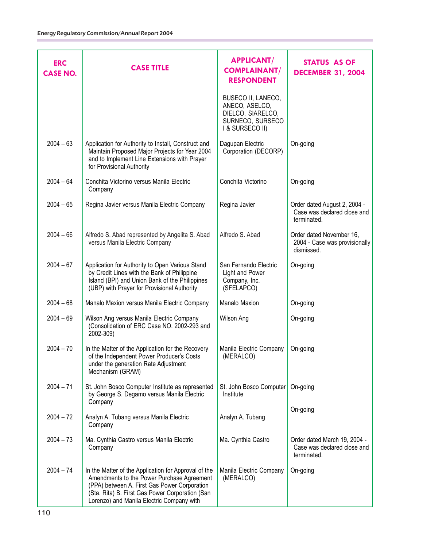| <b>ERC</b><br><b>CASE NO.</b> | <b>CASE TITLE</b>                                                                                                                                                                                                                                  | <b>APPLICANT/</b><br><b>COMPLAINANT/</b><br><b>RESPONDENT</b>                                    | <b>STATUS AS OF</b><br><b>DECEMBER 31, 2004</b>                            |
|-------------------------------|----------------------------------------------------------------------------------------------------------------------------------------------------------------------------------------------------------------------------------------------------|--------------------------------------------------------------------------------------------------|----------------------------------------------------------------------------|
|                               |                                                                                                                                                                                                                                                    | BUSECO II, LANECO,<br>ANECO, ASELCO,<br>DIELCO, SIARELCO,<br>SURNECO, SURSECO<br>I & SURSECO II) |                                                                            |
| $2004 - 63$                   | Application for Authority to Install, Construct and<br>Maintain Proposed Major Projects for Year 2004<br>and to Implement Line Extensions with Prayer<br>for Provisional Authority                                                                 | Dagupan Electric<br>Corporation (DECORP)                                                         | On-going                                                                   |
| $2004 - 64$                   | Conchita Victorino versus Manila Electric<br>Company                                                                                                                                                                                               | Conchita Victorino                                                                               | On-going                                                                   |
| $2004 - 65$                   | Regina Javier versus Manila Electric Company                                                                                                                                                                                                       | Regina Javier                                                                                    | Order dated August 2, 2004 -<br>Case was declared close and<br>terminated. |
| $2004 - 66$                   | Alfredo S. Abad represented by Angelita S. Abad<br>versus Manila Electric Company                                                                                                                                                                  | Alfredo S. Abad                                                                                  | Order dated November 16,<br>2004 - Case was provisionally<br>dismissed.    |
| $2004 - 67$                   | Application for Authority to Open Various Stand<br>by Credit Lines with the Bank of Philippine<br>Island (BPI) and Union Bank of the Philippines<br>(UBP) with Prayer for Provisional Authority                                                    | San Fernando Electric<br>Light and Power<br>Company, Inc.<br>(SFELAPCO)                          | On-going                                                                   |
| $2004 - 68$                   | Manalo Maxion versus Manila Electric Company                                                                                                                                                                                                       | Manalo Maxion                                                                                    | On-going                                                                   |
| $2004 - 69$                   | Wilson Ang versus Manila Electric Company<br>(Consolidation of ERC Case NO. 2002-293 and<br>2002-309)                                                                                                                                              | Wilson Ang                                                                                       | On-going                                                                   |
| $2004 - 70$                   | In the Matter of the Application for the Recovery<br>of the Independent Power Producer's Costs<br>under the generation Rate Adjustment<br>Mechanism (GRAM)                                                                                         | Manila Electric Company<br>(MERALCO)                                                             | On-going                                                                   |
| $2004 - 71$                   | St. John Bosco Computer Institute as represented<br>by George S. Degamo versus Manila Electric<br>Company                                                                                                                                          | St. John Bosco Computer<br>Institute                                                             | On-going                                                                   |
| $2004 - 72$                   | Analyn A. Tubang versus Manila Electric<br>Company                                                                                                                                                                                                 | Analyn A. Tubang                                                                                 | On-going                                                                   |
| $2004 - 73$                   | Ma. Cynthia Castro versus Manila Electric<br>Company                                                                                                                                                                                               | Ma. Cynthia Castro                                                                               | Order dated March 19, 2004 -<br>Case was declared close and<br>terminated. |
| $2004 - 74$                   | In the Matter of the Application for Approval of the<br>Amendments to the Power Purchase Agreement<br>(PPA) between A. First Gas Power Corporation<br>(Sta. Rita) B. First Gas Power Corporation (San<br>Lorenzo) and Manila Electric Company with | Manila Electric Company<br>(MERALCO)                                                             | On-going                                                                   |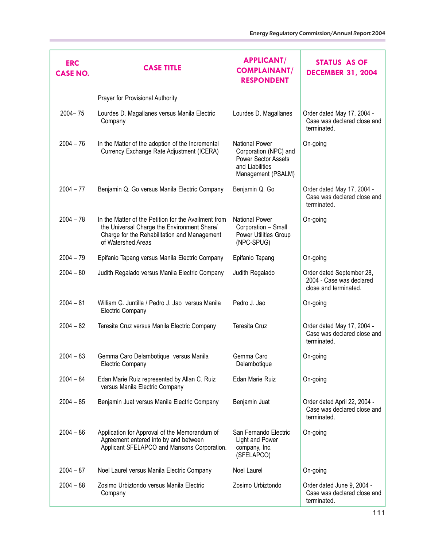| <b>ERC</b><br><b>CASE NO.</b> | <b>CASE TITLE</b>                                                                                                                                                         | <b>APPLICANT/</b><br><b>COMPLAINANT/</b><br><b>RESPONDENT</b>                                                         | <b>STATUS AS OF</b><br><b>DECEMBER 31, 2004</b>                                |
|-------------------------------|---------------------------------------------------------------------------------------------------------------------------------------------------------------------------|-----------------------------------------------------------------------------------------------------------------------|--------------------------------------------------------------------------------|
|                               | Prayer for Provisional Authority                                                                                                                                          |                                                                                                                       |                                                                                |
| $2004 - 75$                   | Lourdes D. Magallanes versus Manila Electric<br>Company                                                                                                                   | Lourdes D. Magallanes                                                                                                 | Order dated May 17, 2004 -<br>Case was declared close and<br>terminated.       |
| $2004 - 76$                   | In the Matter of the adoption of the Incremental<br>Currency Exchange Rate Adjustment (ICERA)                                                                             | <b>National Power</b><br>Corporation (NPC) and<br><b>Power Sector Assets</b><br>and Liabilities<br>Management (PSALM) | On-going                                                                       |
| $2004 - 77$                   | Benjamin Q. Go versus Manila Electric Company                                                                                                                             | Benjamin Q. Go                                                                                                        | Order dated May 17, 2004 -<br>Case was declared close and<br>terminated.       |
| $2004 - 78$                   | In the Matter of the Petition for the Availment from<br>the Universal Charge the Environment Share/<br>Charge for the Rehabilitation and Management<br>of Watershed Areas | <b>National Power</b><br>Corporation - Small<br>Power Utilities Group<br>(NPC-SPUG)                                   | On-going                                                                       |
| $2004 - 79$                   | Epifanio Tapang versus Manila Electric Company                                                                                                                            | Epifanio Tapang                                                                                                       | On-going                                                                       |
| $2004 - 80$                   | Judith Regalado versus Manila Electric Company                                                                                                                            | Judith Regalado                                                                                                       | Order dated September 28,<br>2004 - Case was declared<br>close and terminated. |
| $2004 - 81$                   | William G. Juntilla / Pedro J. Jao versus Manila<br><b>Electric Company</b>                                                                                               | Pedro J. Jao                                                                                                          | On-going                                                                       |
| $2004 - 82$                   | Teresita Cruz versus Manila Electric Company                                                                                                                              | Teresita Cruz                                                                                                         | Order dated May 17, 2004 -<br>Case was declared close and<br>terminated.       |
| $2004 - 83$                   | Gemma Caro Delambotique versus Manila<br><b>Electric Company</b>                                                                                                          | Gemma Caro<br>Delambotique                                                                                            | On-going                                                                       |
| $2004 - 84$                   | Edan Marie Ruiz represented by Allan C. Ruiz<br>versus Manila Electric Company                                                                                            | Edan Marie Ruiz                                                                                                       | On-going                                                                       |
| $2004 - 85$                   | Benjamin Juat versus Manila Electric Company                                                                                                                              | Benjamin Juat                                                                                                         | Order dated April 22, 2004 -<br>Case was declared close and<br>terminated.     |
| $2004 - 86$                   | Application for Approval of the Memorandum of<br>Agreement entered into by and between<br>Applicant SFELAPCO and Mansons Corporation.                                     | San Fernando Electric<br>Light and Power<br>company, Inc.<br>(SFELAPCO)                                               | On-going                                                                       |
| $2004 - 87$                   | Noel Laurel versus Manila Electric Company                                                                                                                                | Noel Laurel                                                                                                           | On-going                                                                       |
| $2004 - 88$                   | Zosimo Urbiztondo versus Manila Electric<br>Company                                                                                                                       | Zosimo Urbiztondo                                                                                                     | Order dated June 9, 2004 -<br>Case was declared close and<br>terminated.       |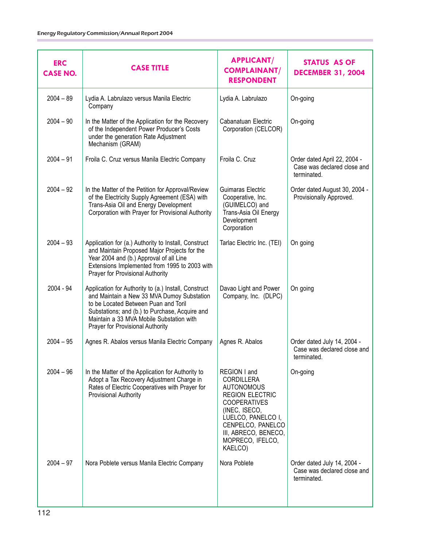| <b>ERC</b><br><b>CASE NO.</b> | <b>CASE TITLE</b>                                                                                                                                                                                                                                                            | <b>APPLICANT/</b><br><b>COMPLAINANT/</b><br><b>RESPONDENT</b>                                                                                                                                                       | <b>STATUS AS OF</b><br><b>DECEMBER 31, 2004</b>                            |
|-------------------------------|------------------------------------------------------------------------------------------------------------------------------------------------------------------------------------------------------------------------------------------------------------------------------|---------------------------------------------------------------------------------------------------------------------------------------------------------------------------------------------------------------------|----------------------------------------------------------------------------|
| $2004 - 89$                   | Lydia A. Labrulazo versus Manila Electric<br>Company                                                                                                                                                                                                                         | Lydia A. Labrulazo                                                                                                                                                                                                  | On-going                                                                   |
| $2004 - 90$                   | In the Matter of the Application for the Recovery<br>of the Independent Power Producer's Costs<br>under the generation Rate Adjustment<br>Mechanism (GRAM)                                                                                                                   | Cabanatuan Electric<br>Corporation (CELCOR)                                                                                                                                                                         | On-going                                                                   |
| $2004 - 91$                   | Froila C. Cruz versus Manila Electric Company                                                                                                                                                                                                                                | Froila C. Cruz                                                                                                                                                                                                      | Order dated April 22, 2004 -<br>Case was declared close and<br>terminated. |
| $2004 - 92$                   | In the Matter of the Petition for Approval/Review<br>of the Electricity Supply Agreement (ESA) with<br>Trans-Asia Oil and Energy Development<br>Corporation with Prayer for Provisional Authority                                                                            | Guimaras Electric<br>Cooperative, Inc.<br>(GUIMELCO) and<br>Trans-Asia Oil Energy<br>Development<br>Corporation                                                                                                     | Order dated August 30, 2004 -<br>Provisionally Approved.                   |
| $2004 - 93$                   | Application for (a.) Authority to Install, Construct<br>and Maintain Proposed Major Projects for the<br>Year 2004 and (b.) Approval of all Line<br>Extensions Implemented from 1995 to 2003 with<br>Prayer for Provisional Authority                                         | Tarlac Electric Inc. (TEI)                                                                                                                                                                                          | On going                                                                   |
| 2004 - 94                     | Application for Authority to (a.) Install, Construct<br>and Maintain a New 33 MVA Dumoy Substation<br>to be Located Between Puan and Toril<br>Substations; and (b.) to Purchase, Acquire and<br>Maintain a 33 MVA Mobile Substation with<br>Prayer for Provisional Authority | Davao Light and Power<br>Company, Inc. (DLPC)                                                                                                                                                                       | On going                                                                   |
| $2004 - 95$                   | Agnes R. Abalos versus Manila Electric Company                                                                                                                                                                                                                               | Agnes R. Abalos                                                                                                                                                                                                     | Order dated July 14, 2004 -<br>Case was declared close and<br>terminated.  |
| $2004 - 96$                   | In the Matter of the Application for Authority to<br>Adopt a Tax Recovery Adjustment Charge in<br>Rates of Electric Cooperatives with Prayer for<br>Provisional Authority                                                                                                    | REGION I and<br>CORDILLERA<br><b>AUTONOMOUS</b><br><b>REGION ELECTRIC</b><br><b>COOPERATIVES</b><br>(INEC, ISECO,<br>LUELCO, PANELCO I,<br>CENPELCO, PANELCO<br>III, ABRECO, BENECO,<br>MOPRECO, IFELCO,<br>KAELCO) | On-going                                                                   |
| $2004 - 97$                   | Nora Poblete versus Manila Electric Company                                                                                                                                                                                                                                  | Nora Poblete                                                                                                                                                                                                        | Order dated July 14, 2004 -<br>Case was declared close and<br>terminated.  |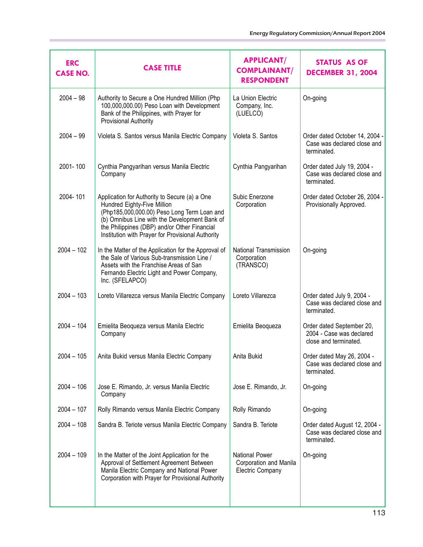| <b>ERC</b><br><b>CASE NO.</b> | <b>CASE TITLE</b>                                                                                                                                                                                                                                                                 | <b>APPLICANT/</b><br><b>COMPLAINANT/</b><br><b>RESPONDENT</b>              | <b>STATUS AS OF</b><br><b>DECEMBER 31, 2004</b>                                |
|-------------------------------|-----------------------------------------------------------------------------------------------------------------------------------------------------------------------------------------------------------------------------------------------------------------------------------|----------------------------------------------------------------------------|--------------------------------------------------------------------------------|
| $2004 - 98$                   | Authority to Secure a One Hundred Million (Php<br>100,000,000.00) Peso Loan with Development<br>Bank of the Philippines, with Prayer for<br>Provisional Authority                                                                                                                 | La Union Electric<br>Company, Inc.<br>(LUELCO)                             | On-going                                                                       |
| $2004 - 99$                   | Violeta S. Santos versus Manila Electric Company                                                                                                                                                                                                                                  | Violeta S. Santos                                                          | Order dated October 14, 2004 -<br>Case was declared close and<br>terminated.   |
| 2001-100                      | Cynthia Pangyarihan versus Manila Electric<br>Company                                                                                                                                                                                                                             | Cynthia Pangyarihan                                                        | Order dated July 19, 2004 -<br>Case was declared close and<br>terminated.      |
| 2004-101                      | Application for Authority to Secure (a) a One<br>Hundred Eighty-Five Million<br>(Php185,000,000.00) Peso Long Term Loan and<br>(b) Omnibus Line with the Development Bank of<br>the Philippines (DBP) and/or Other Financial<br>Institution with Prayer for Provisional Authority | Subic Enerzone<br>Corporation                                              | Order dated October 26, 2004 -<br>Provisionally Approved.                      |
| $2004 - 102$                  | In the Matter of the Application for the Approval of<br>the Sale of Various Sub-transmission Line /<br>Assets with the Franchise Areas of San<br>Fernando Electric Light and Power Company,<br>Inc. (SFELAPCO)                                                                    | National Transmission<br>Corporation<br>(TRANSCO)                          | On-going                                                                       |
| $2004 - 103$                  | Loreto Villarezca versus Manila Electric Company                                                                                                                                                                                                                                  | Loreto Villarezca                                                          | Order dated July 9, 2004 -<br>Case was declared close and<br>terminated.       |
| $2004 - 104$                  | Emielita Beoqueza versus Manila Electric<br>Company                                                                                                                                                                                                                               | Emielita Beoqueza                                                          | Order dated September 20,<br>2004 - Case was declared<br>close and terminated. |
| $2004 - 105$                  | Anita Bukid versus Manila Electric Company                                                                                                                                                                                                                                        | Anita Bukid                                                                | Order dated May 26, 2004 -<br>Case was declared close and<br>terminated.       |
| $2004 - 106$                  | Jose E. Rimando, Jr. versus Manila Electric<br>Company                                                                                                                                                                                                                            | Jose E. Rimando, Jr.                                                       | On-going                                                                       |
| $2004 - 107$                  | Rolly Rimando versus Manila Electric Company                                                                                                                                                                                                                                      | Rolly Rimando                                                              | On-going                                                                       |
| $2004 - 108$                  | Sandra B. Teriote versus Manila Electric Company                                                                                                                                                                                                                                  | Sandra B. Teriote                                                          | Order dated August 12, 2004 -<br>Case was declared close and<br>terminated.    |
| $2004 - 109$                  | In the Matter of the Joint Application for the<br>Approval of Settlement Agreement Between<br>Manila Electric Company and National Power<br>Corporation with Prayer for Provisional Authority                                                                                     | <b>National Power</b><br>Corporation and Manila<br><b>Electric Company</b> | On-going                                                                       |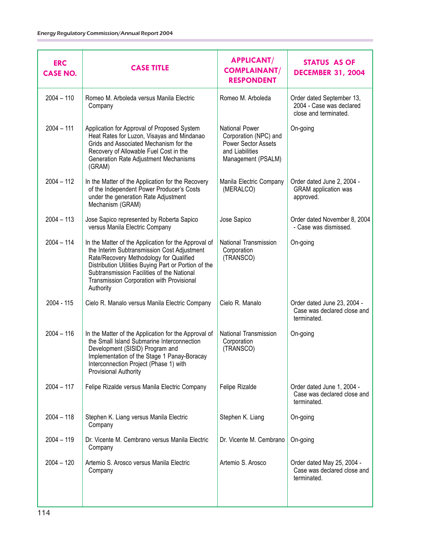| <b>ERC</b><br><b>CASE NO.</b> | <b>CASE TITLE</b>                                                                                                                                                                                                                                                                                              | <b>APPLICANT/</b><br><b>COMPLAINANT/</b><br><b>RESPONDENT</b>                                                  | <b>STATUS AS OF</b><br><b>DECEMBER 31, 2004</b>                                |
|-------------------------------|----------------------------------------------------------------------------------------------------------------------------------------------------------------------------------------------------------------------------------------------------------------------------------------------------------------|----------------------------------------------------------------------------------------------------------------|--------------------------------------------------------------------------------|
| $2004 - 110$                  | Romeo M. Arboleda versus Manila Electric<br>Company                                                                                                                                                                                                                                                            | Romeo M. Arboleda                                                                                              | Order dated September 13,<br>2004 - Case was declared<br>close and terminated. |
| $2004 - 111$                  | Application for Approval of Proposed System<br>Heat Rates for Luzon, Visayas and Mindanao<br>Grids and Associated Mechanism for the<br>Recovery of Allowable Fuel Cost in the<br>Generation Rate Adjustment Mechanisms<br>(GRAM)                                                                               | <b>National Power</b><br>Corporation (NPC) and<br>Power Sector Assets<br>and Liabilities<br>Management (PSALM) | On-going                                                                       |
| $2004 - 112$                  | In the Matter of the Application for the Recovery<br>of the Independent Power Producer's Costs<br>under the generation Rate Adjustment<br>Mechanism (GRAM)                                                                                                                                                     | Manila Electric Company<br>(MERALCO)                                                                           | Order dated June 2, 2004 -<br><b>GRAM</b> application was<br>approved.         |
| $2004 - 113$                  | Jose Sapico represented by Roberta Sapico<br>versus Manila Electric Company                                                                                                                                                                                                                                    | Jose Sapico                                                                                                    | Order dated November 8, 2004<br>- Case was dismissed.                          |
| $2004 - 114$                  | In the Matter of the Application for the Approval of<br>the Interim Subtransmission Cost Adjustment<br>Rate/Recovery Methodology for Qualified<br>Distribution Utilities Buying Part or Portion of the<br>Subtransmission Facilities of the National<br>Transmission Corporation with Provisional<br>Authority | National Transmission<br>Corporation<br>(TRANSCO)                                                              | On-going                                                                       |
| 2004 - 115                    | Cielo R. Manalo versus Manila Electric Company                                                                                                                                                                                                                                                                 | Cielo R. Manalo                                                                                                | Order dated June 23, 2004 -<br>Case was declared close and<br>terminated.      |
| $2004 - 116$                  | In the Matter of the Application for the Approval of<br>the Small Island Submarine Interconnection<br>Development (SISID) Program and<br>Implementation of the Stage 1 Panay-Boracay<br>Interconnection Project (Phase 1) with<br>Provisional Authority                                                        | National Transmission<br>Corporation<br>(TRANSCO)                                                              | On-going                                                                       |
| $2004 - 117$                  | Felipe Rizalde versus Manila Electric Company                                                                                                                                                                                                                                                                  | Felipe Rizalde                                                                                                 | Order dated June 1, 2004 -<br>Case was declared close and<br>terminated.       |
| $2004 - 118$                  | Stephen K. Liang versus Manila Electric<br>Company                                                                                                                                                                                                                                                             | Stephen K. Liang                                                                                               | On-going                                                                       |
| $2004 - 119$                  | Dr. Vicente M. Cembrano versus Manila Electric<br>Company                                                                                                                                                                                                                                                      | Dr. Vicente M. Cembrano                                                                                        | On-going                                                                       |
| $2004 - 120$                  | Artemio S. Arosco versus Manila Electric<br>Company                                                                                                                                                                                                                                                            | Artemio S. Arosco                                                                                              | Order dated May 25, 2004 -<br>Case was declared close and<br>terminated.       |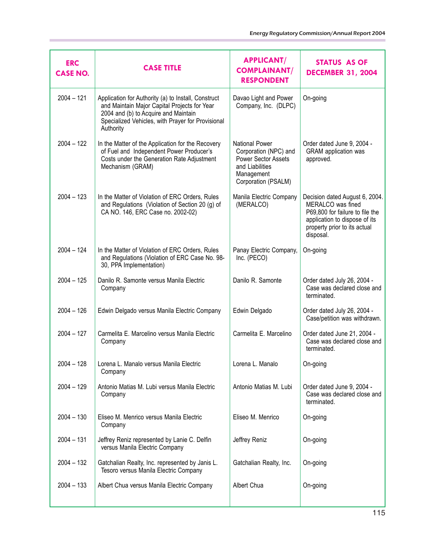| <b>ERC</b><br><b>CASE NO.</b> | <b>CASE TITLE</b>                                                                                                                                                                                             | <b>APPLICANT/</b><br><b>COMPLAINANT/</b><br><b>RESPONDENT</b>                                                                 | <b>STATUS AS OF</b><br><b>DECEMBER 31, 2004</b>                                                                                                                      |
|-------------------------------|---------------------------------------------------------------------------------------------------------------------------------------------------------------------------------------------------------------|-------------------------------------------------------------------------------------------------------------------------------|----------------------------------------------------------------------------------------------------------------------------------------------------------------------|
| $2004 - 121$                  | Application for Authority (a) to Install, Construct<br>and Maintain Major Capital Projects for Year<br>2004 and (b) to Acquire and Maintain<br>Specialized Vehicles, with Prayer for Provisional<br>Authority | Davao Light and Power<br>Company, Inc. (DLPC)                                                                                 | On-going                                                                                                                                                             |
| $2004 - 122$                  | In the Matter of the Application for the Recovery<br>of Fuel and Independent Power Producer's<br>Costs under the Generation Rate Adjustment<br>Mechanism (GRAM)                                               | <b>National Power</b><br>Corporation (NPC) and<br>Power Sector Assets<br>and Liabilities<br>Management<br>Corporation (PSALM) | Order dated June 9, 2004 -<br><b>GRAM</b> application was<br>approved.                                                                                               |
| $2004 - 123$                  | In the Matter of Violation of ERC Orders, Rules<br>and Regulations (Violation of Section 20 (g) of<br>CA NO. 146, ERC Case no. 2002-02)                                                                       | Manila Electric Company<br>(MERALCO)                                                                                          | Decision dated August 6, 2004.<br>MERALCO was fined<br>P69,800 for failure to file the<br>application to dispose of its<br>property prior to its actual<br>disposal. |
| $2004 - 124$                  | In the Matter of Violation of ERC Orders, Rules<br>and Regulations (Violation of ERC Case No. 98-<br>30, PPA Implementation)                                                                                  | Panay Electric Company,<br>Inc. (PECO)                                                                                        | On-going                                                                                                                                                             |
| $2004 - 125$                  | Danilo R. Samonte versus Manila Electric<br>Company                                                                                                                                                           | Danilo R. Samonte                                                                                                             | Order dated July 26, 2004 -<br>Case was declared close and<br>terminated.                                                                                            |
| $2004 - 126$                  | Edwin Delgado versus Manila Electric Company                                                                                                                                                                  | Edwin Delgado                                                                                                                 | Order dated July 26, 2004 -<br>Case/petition was withdrawn.                                                                                                          |
| $2004 - 127$                  | Carmelita E. Marcelino versus Manila Electric<br>Company                                                                                                                                                      | Carmelita E. Marcelino                                                                                                        | Order dated June 21, 2004 -<br>Case was declared close and<br>terminated.                                                                                            |
| $2004 - 128$                  | Lorena L. Manalo versus Manila Electric<br>Company                                                                                                                                                            | Lorena L. Manalo                                                                                                              | On-going                                                                                                                                                             |
| $2004 - 129$                  | Antonio Matias M. Lubi versus Manila Electric<br>Company                                                                                                                                                      | Antonio Matias M. Lubi                                                                                                        | Order dated June 9, 2004 -<br>Case was declared close and<br>terminated.                                                                                             |
| $2004 - 130$                  | Eliseo M. Menrico versus Manila Electric<br>Company                                                                                                                                                           | Eliseo M. Menrico                                                                                                             | On-going                                                                                                                                                             |
| $2004 - 131$                  | Jeffrey Reniz represented by Lanie C. Delfin<br>versus Manila Electric Company                                                                                                                                | Jeffrey Reniz                                                                                                                 | On-going                                                                                                                                                             |
| $2004 - 132$                  | Gatchalian Realty, Inc. represented by Janis L.<br>Tesoro versus Manila Electric Company                                                                                                                      | Gatchalian Realty, Inc.                                                                                                       | On-going                                                                                                                                                             |
| $2004 - 133$                  | Albert Chua versus Manila Electric Company                                                                                                                                                                    | Albert Chua                                                                                                                   | On-going                                                                                                                                                             |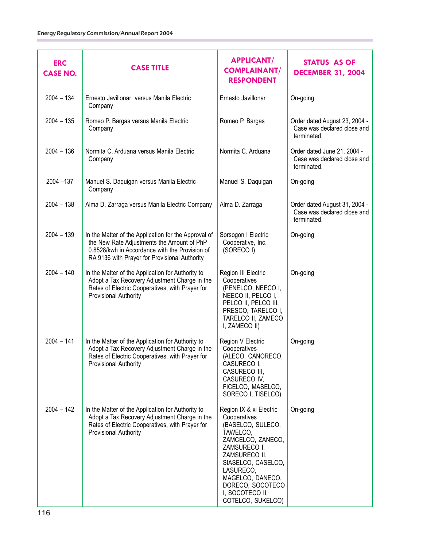| <b>ERC</b><br><b>CASE NO.</b> | <b>CASE TITLE</b>                                                                                                                                                                                     | <b>APPLICANT/</b><br><b>COMPLAINANT/</b><br><b>RESPONDENT</b>                                                                                                                                                                                     | <b>STATUS AS OF</b><br><b>DECEMBER 31, 2004</b>                             |
|-------------------------------|-------------------------------------------------------------------------------------------------------------------------------------------------------------------------------------------------------|---------------------------------------------------------------------------------------------------------------------------------------------------------------------------------------------------------------------------------------------------|-----------------------------------------------------------------------------|
| $2004 - 134$                  | Ernesto Javillonar versus Manila Electric<br>Company                                                                                                                                                  | Ernesto Javillonar                                                                                                                                                                                                                                | On-going                                                                    |
| $2004 - 135$                  | Romeo P. Bargas versus Manila Electric<br>Company                                                                                                                                                     | Romeo P. Bargas                                                                                                                                                                                                                                   | Order dated August 23, 2004 -<br>Case was declared close and<br>terminated. |
| $2004 - 136$                  | Normita C. Arduana versus Manila Electric<br>Company                                                                                                                                                  | Normita C. Arduana                                                                                                                                                                                                                                | Order dated June 21, 2004 -<br>Case was declared close and<br>terminated.   |
| 2004 - 137                    | Manuel S. Daquigan versus Manila Electric<br>Company                                                                                                                                                  | Manuel S. Daquigan                                                                                                                                                                                                                                | On-going                                                                    |
| $2004 - 138$                  | Alma D. Zarraga versus Manila Electric Company                                                                                                                                                        | Alma D. Zarraga                                                                                                                                                                                                                                   | Order dated August 31, 2004 -<br>Case was declared close and<br>terminated. |
| $2004 - 139$                  | In the Matter of the Application for the Approval of<br>the New Rate Adjustments the Amount of PhP<br>0.8528/kwh in Accordance with the Provision of<br>RA 9136 with Prayer for Provisional Authority | Sorsogon I Electric<br>Cooperative, Inc.<br>(SORECO I)                                                                                                                                                                                            | On-going                                                                    |
| $2004 - 140$                  | In the Matter of the Application for Authority to<br>Adopt a Tax Recovery Adjustment Charge in the<br>Rates of Electric Cooperatives, with Prayer for<br><b>Provisional Authority</b>                 | Region III Electric<br>Cooperatives<br>(PENELCO, NEECO I,<br>NEECO II, PELCO I,<br>PELCO II, PELCO III,<br>PRESCO, TARELCO I,<br>TARELCO II, ZAMECO<br>I, ZAMECO II)                                                                              | On-going                                                                    |
| $2004 - 141$                  | In the Matter of the Application for Authority to<br>Adopt a Tax Recovery Adjustment Charge in the<br>Rates of Electric Cooperatives, with Prayer for<br>Provisional Authority                        | Region V Electric<br>Cooperatives<br>(ALECO, CANORECO,<br>CASURECO I,<br>CASURECO III,<br>CASURECO IV,<br>FICELCO, MASELCO,<br>SORECO I, TISELCO)                                                                                                 | On-going                                                                    |
| $2004 - 142$                  | In the Matter of the Application for Authority to<br>Adopt a Tax Recovery Adjustment Charge in the<br>Rates of Electric Cooperatives, with Prayer for<br><b>Provisional Authority</b>                 | Region IX & xi Electric<br>Cooperatives<br>(BASELCO, SULECO,<br>TAWELCO,<br>ZAMCELCO, ZANECO,<br>ZAMSURECO I,<br>ZAMSURECO II,<br>SIASELCO, CASELCO,<br>LASURECO,<br>MAGELCO, DANECO,<br>DORECO, SOCOTECO<br>I, SOCOTECO II,<br>COTELCO, SUKELCO) | On-going                                                                    |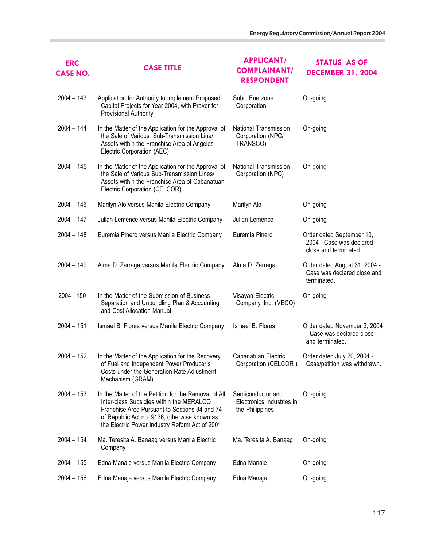| <b>ERC</b><br><b>CASE NO.</b> | <b>CASE TITLE</b>                                                                                                                                                                                                                                   | <b>APPLICANT/</b><br><b>COMPLAINANT/</b><br><b>RESPONDENT</b>     | STATUS AS OF<br><b>DECEMBER 31, 2004</b>                                       |
|-------------------------------|-----------------------------------------------------------------------------------------------------------------------------------------------------------------------------------------------------------------------------------------------------|-------------------------------------------------------------------|--------------------------------------------------------------------------------|
| $2004 - 143$                  | Application for Authority to Implement Proposed<br>Capital Projects for Year 2004, with Prayer for<br>Provisional Authority                                                                                                                         | Subic Enerzone<br>Corporation                                     | On-going                                                                       |
| $2004 - 144$                  | In the Matter of the Application for the Approval of<br>the Sale of Various Sub-Transmission Line/<br>Assets within the Franchise Area of Angeles<br>Electric Corporation (AEC)                                                                     | National Transmission<br>Corporation (NPC/<br>TRANSCO)            | On-going                                                                       |
| $2004 - 145$                  | In the Matter of the Application for the Approval of<br>the Sale of Various Sub-Transmission Lines/<br>Assets within the Franchise Area of Cabanatuan<br>Electric Corporation (CELCOR)                                                              | National Transmission<br>Corporation (NPC)                        | On-going                                                                       |
| $2004 - 146$                  | Marilyn Alo versus Manila Electric Company                                                                                                                                                                                                          | Marilyn Alo                                                       | On-going                                                                       |
| $2004 - 147$                  | Julian Lemence versus Manila Electric Company                                                                                                                                                                                                       | Julian Lemence                                                    | On-going                                                                       |
| $2004 - 148$                  | Euremia Pinero versus Manila Electric Company                                                                                                                                                                                                       | Euremia Pinero                                                    | Order dated September 10,<br>2004 - Case was declared<br>close and terminated. |
| $2004 - 149$                  | Alma D. Zarraga versus Manila Electric Company                                                                                                                                                                                                      | Alma D. Zarraga                                                   | Order dated August 31, 2004 -<br>Case was declared close and<br>terminated.    |
| 2004 - 150                    | In the Matter of the Submission of Business<br>Separation and Unbundling Plan & Accounting<br>and Cost Allocation Manual                                                                                                                            | Visayan Electric<br>Company, Inc. (VECO)                          | On-going                                                                       |
| $2004 - 151$                  | Ismael B. Flores versus Manila Electric Company                                                                                                                                                                                                     | Ismael B. Flores                                                  | Order dated November 3, 2004<br>- Case was declared close<br>and terminated.   |
| $2004 - 152$                  | In the Matter of the Application for the Recovery<br>of Fuel and Independent Power Producer's<br>Costs under the Generation Rate Adjustment<br>Mechanism (GRAM)                                                                                     | Cabanatuan Electric<br>Corporation (CELCOR)                       | Order dated July 20, 2004 -<br>Case/petition was withdrawn.                    |
| $2004 - 153$                  | In the Matter of the Petition for the Removal of All<br>Inter-class Subsidies within the MERALCO<br>Franchise Area Pursuant to Sections 34 and 74<br>of Republic Act no. 9136, otherwise known as<br>the Electric Power Industry Reform Act of 2001 | Semiconductor and<br>Electronics Industries in<br>the Philippines | On-going                                                                       |
| $2004 - 154$                  | Ma. Teresita A. Banaag versus Manila Electric<br>Company                                                                                                                                                                                            | Ma. Teresita A. Banaag                                            | On-going                                                                       |
| $2004 - 155$                  | Edna Manaje versus Manila Electric Company                                                                                                                                                                                                          | Edna Manaje                                                       | On-going                                                                       |
| $2004 - 156$                  | Edna Manaje versus Manila Electric Company                                                                                                                                                                                                          | Edna Manaje                                                       | On-going                                                                       |
|                               |                                                                                                                                                                                                                                                     |                                                                   |                                                                                |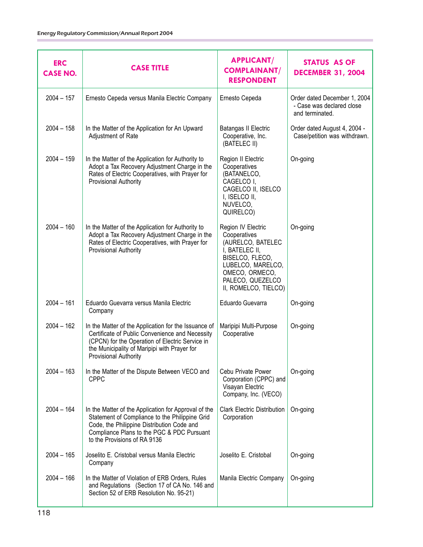| <b>ERC</b><br><b>CASE NO.</b> | <b>CASE TITLE</b>                                                                                                                                                                                                                   | <b>APPLICANT/</b><br><b>COMPLAINANT/</b><br><b>RESPONDENT</b>                                                                                                                   | <b>STATUS AS OF</b><br><b>DECEMBER 31, 2004</b>                              |
|-------------------------------|-------------------------------------------------------------------------------------------------------------------------------------------------------------------------------------------------------------------------------------|---------------------------------------------------------------------------------------------------------------------------------------------------------------------------------|------------------------------------------------------------------------------|
| $2004 - 157$                  | Ernesto Cepeda versus Manila Electric Company                                                                                                                                                                                       | Ernesto Cepeda                                                                                                                                                                  | Order dated December 1, 2004<br>- Case was declared close<br>and terminated. |
| $2004 - 158$                  | In the Matter of the Application for An Upward<br>Adjustment of Rate                                                                                                                                                                | Batangas II Electric<br>Cooperative, Inc.<br>(BATELEC II)                                                                                                                       | Order dated August 4, 2004 -<br>Case/petition was withdrawn.                 |
| $2004 - 159$                  | In the Matter of the Application for Authority to<br>Adopt a Tax Recovery Adjustment Charge in the<br>Rates of Electric Cooperatives, with Prayer for<br>Provisional Authority                                                      | Region II Electric<br>Cooperatives<br>(BATANELCO,<br>CAGELCO I,<br>CAGELCO II, ISELCO<br>I, ISELCO II,<br>NUVELCO,<br>QUIRELCO)                                                 | On-going                                                                     |
| $2004 - 160$                  | In the Matter of the Application for Authority to<br>Adopt a Tax Recovery Adjustment Charge in the<br>Rates of Electric Cooperatives, with Prayer for<br>Provisional Authority                                                      | Region IV Electric<br>Cooperatives<br>(AURELCO, BATELEC<br>I, BATELEC II,<br>BISELCO, FLECO,<br>LUBELCO, MARELCO,<br>OMECO, ORMECO,<br>PALECO, QUEZELCO<br>II, ROMELCO, TIELCO) | On-going                                                                     |
| $2004 - 161$                  | Eduardo Guevarra versus Manila Electric<br>Company                                                                                                                                                                                  | Eduardo Guevarra                                                                                                                                                                | On-going                                                                     |
| $2004 - 162$                  | In the Matter of the Application for the Issuance of<br>Certificate of Public Convenience and Necessity<br>(CPCN) for the Operation of Electric Service in<br>the Municipality of Maripipi with Prayer for<br>Provisional Authority | Maripipi Multi-Purpose<br>Cooperative                                                                                                                                           | On-going                                                                     |
| $2004 - 163$                  | In the Matter of the Dispute Between VECO and<br><b>CPPC</b>                                                                                                                                                                        | Cebu Private Power<br>Corporation (CPPC) and<br>Visayan Electric<br>Company, Inc. (VECO)                                                                                        | On-going                                                                     |
| $2004 - 164$                  | In the Matter of the Application for Approval of the<br>Statement of Compliance to the Philippine Grid<br>Code, the Philippine Distribution Code and<br>Compliance Plans to the PGC & PDC Pursuant<br>to the Provisions of RA 9136  | <b>Clark Electric Distribution</b><br>Corporation                                                                                                                               | On-going                                                                     |
| $2004 - 165$                  | Joselito E. Cristobal versus Manila Electric<br>Company                                                                                                                                                                             | Joselito E. Cristobal                                                                                                                                                           | On-going                                                                     |
| $2004 - 166$                  | In the Matter of Violation of ERB Orders, Rules<br>and Regulations (Section 17 of CA No. 146 and<br>Section 52 of ERB Resolution No. 95-21)                                                                                         | Manila Electric Company                                                                                                                                                         | On-going                                                                     |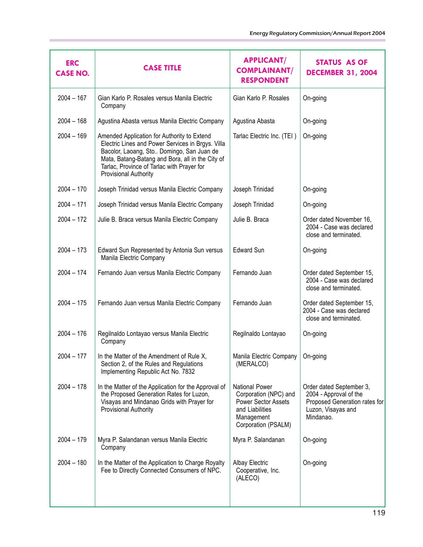| <b>ERC</b><br><b>CASE NO.</b> | <b>CASE TITLE</b>                                                                                                                                                                                                                                                        | <b>APPLICANT/</b><br><b>COMPLAINANT/</b><br><b>RESPONDENT</b>                                                                 | STATUS AS OF<br><b>DECEMBER 31, 2004</b>                                                                               |
|-------------------------------|--------------------------------------------------------------------------------------------------------------------------------------------------------------------------------------------------------------------------------------------------------------------------|-------------------------------------------------------------------------------------------------------------------------------|------------------------------------------------------------------------------------------------------------------------|
| $2004 - 167$                  | Gian Karlo P. Rosales versus Manila Electric<br>Company                                                                                                                                                                                                                  | Gian Karlo P. Rosales                                                                                                         | On-going                                                                                                               |
| $2004 - 168$                  | Agustina Abasta versus Manila Electric Company                                                                                                                                                                                                                           | Agustina Abasta                                                                                                               | On-going                                                                                                               |
| $2004 - 169$                  | Amended Application for Authority to Extend<br>Electric Lines and Power Services in Brgys. Villa<br>Bacolor, Laoang, Sto Domingo, San Juan de<br>Mata, Batang-Batang and Bora, all in the City of<br>Tarlac, Province of Tarlac with Prayer for<br>Provisional Authority | Tarlac Electric Inc. (TEI)                                                                                                    | On-going                                                                                                               |
| $2004 - 170$                  | Joseph Trinidad versus Manila Electric Company                                                                                                                                                                                                                           | Joseph Trinidad                                                                                                               | On-going                                                                                                               |
| $2004 - 171$                  | Joseph Trinidad versus Manila Electric Company                                                                                                                                                                                                                           | Joseph Trinidad                                                                                                               | On-going                                                                                                               |
| $2004 - 172$                  | Julie B. Braca versus Manila Electric Company                                                                                                                                                                                                                            | Julie B. Braca                                                                                                                | Order dated November 16,<br>2004 - Case was declared<br>close and terminated.                                          |
| $2004 - 173$                  | Edward Sun Represented by Antonia Sun versus<br>Manila Electric Company                                                                                                                                                                                                  | <b>Edward Sun</b>                                                                                                             | On-going                                                                                                               |
| $2004 - 174$                  | Fernando Juan versus Manila Electric Company                                                                                                                                                                                                                             | Fernando Juan                                                                                                                 | Order dated September 15,<br>2004 - Case was declared<br>close and terminated.                                         |
| $2004 - 175$                  | Fernando Juan versus Manila Electric Company                                                                                                                                                                                                                             | Fernando Juan                                                                                                                 | Order dated September 15,<br>2004 - Case was declared<br>close and terminated.                                         |
| $2004 - 176$                  | Regilnaldo Lontayao versus Manila Electric<br>Company                                                                                                                                                                                                                    | Regilnaldo Lontayao                                                                                                           | On-going                                                                                                               |
| $2004 - 177$                  | In the Matter of the Amendment of Rule X,<br>Section 2, of the Rules and Regulations<br>Implementing Republic Act No. 7832                                                                                                                                               | Manila Electric Company<br>(MERALCO)                                                                                          | On-going                                                                                                               |
| $2004 - 178$                  | In the Matter of the Application for the Approval of<br>the Proposed Generation Rates for Luzon,<br>Visayas and Mindanao Grids with Prayer for<br>Provisional Authority                                                                                                  | <b>National Power</b><br>Corporation (NPC) and<br>Power Sector Assets<br>and Liabilities<br>Management<br>Corporation (PSALM) | Order dated September 3,<br>2004 - Approval of the<br>Proposed Generation rates for<br>Luzon, Visayas and<br>Mindanao. |
| $2004 - 179$                  | Myra P. Salandanan versus Manila Electric<br>Company                                                                                                                                                                                                                     | Myra P. Salandanan                                                                                                            | On-going                                                                                                               |
| $2004 - 180$                  | In the Matter of the Application to Charge Royalty<br>Fee to Directly Connected Consumers of NPC.                                                                                                                                                                        | <b>Albay Electric</b><br>Cooperative, Inc.<br>(ALECO)                                                                         | On-going                                                                                                               |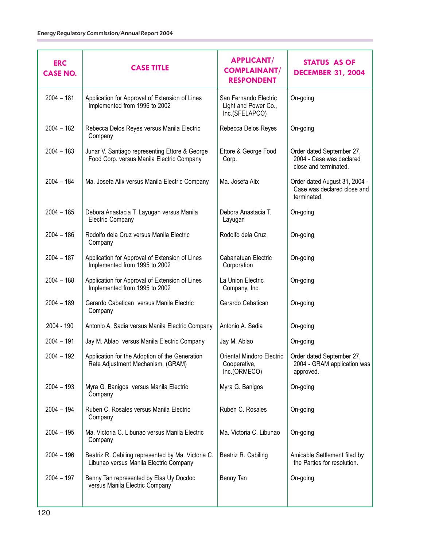| <b>ERC</b><br><b>CASE NO.</b> | <b>CASE TITLE</b>                                                                            | <b>APPLICANT/</b><br><b>COMPLAINANT/</b><br><b>RESPONDENT</b>   | STATUS AS OF<br><b>DECEMBER 31, 2004</b>                                       |
|-------------------------------|----------------------------------------------------------------------------------------------|-----------------------------------------------------------------|--------------------------------------------------------------------------------|
| $2004 - 181$                  | Application for Approval of Extension of Lines<br>Implemented from 1996 to 2002              | San Fernando Electric<br>Light and Power Co.,<br>Inc.(SFELAPCO) | On-going                                                                       |
| $2004 - 182$                  | Rebecca Delos Reyes versus Manila Electric<br>Company                                        | Rebecca Delos Reyes                                             | On-going                                                                       |
| $2004 - 183$                  | Junar V. Santiago representing Ettore & George<br>Food Corp. versus Manila Electric Company  | Ettore & George Food<br>Corp.                                   | Order dated September 27,<br>2004 - Case was declared<br>close and terminated. |
| $2004 - 184$                  | Ma. Josefa Alix versus Manila Electric Company                                               | Ma. Josefa Alix                                                 | Order dated August 31, 2004 -<br>Case was declared close and<br>terminated.    |
| $2004 - 185$                  | Debora Anastacia T. Layugan versus Manila<br><b>Electric Company</b>                         | Debora Anastacia T.<br>Layugan                                  | On-going                                                                       |
| $2004 - 186$                  | Rodolfo dela Cruz versus Manila Electric<br>Company                                          | Rodolfo dela Cruz                                               | On-going                                                                       |
| $2004 - 187$                  | Application for Approval of Extension of Lines<br>Implemented from 1995 to 2002              | Cabanatuan Electric<br>Corporation                              | On-going                                                                       |
| $2004 - 188$                  | Application for Approval of Extension of Lines<br>Implemented from 1995 to 2002              | La Union Electric<br>Company, Inc.                              | On-going                                                                       |
| $2004 - 189$                  | Gerardo Cabatican versus Manila Electric<br>Company                                          | Gerardo Cabatican                                               | On-going                                                                       |
| 2004 - 190                    | Antonio A. Sadia versus Manila Electric Company                                              | Antonio A. Sadia                                                | On-going                                                                       |
| $2004 - 191$                  | Jay M. Ablao versus Manila Electric Company                                                  | Jay M. Ablao                                                    | On-going                                                                       |
| $2004 - 192$                  | Application for the Adoption of the Generation<br>Rate Adjustment Mechanism, (GRAM)          | Oriental Mindoro Electric<br>Cooperative,<br>Inc.(ORMECO)       | Order dated September 27,<br>2004 - GRAM application was<br>approved.          |
| $2004 - 193$                  | Myra G. Banigos versus Manila Electric<br>Company                                            | Myra G. Banigos                                                 | On-going                                                                       |
| $2004 - 194$                  | Ruben C. Rosales versus Manila Electric<br>Company                                           | Ruben C. Rosales                                                | On-going                                                                       |
| $2004 - 195$                  | Ma. Victoria C. Libunao versus Manila Electric<br>Company                                    | Ma. Victoria C. Libunao                                         | On-going                                                                       |
| $2004 - 196$                  | Beatriz R. Cabiling represented by Ma. Victoria C.<br>Libunao versus Manila Electric Company | Beatriz R. Cabiling                                             | Amicable Settlement filed by<br>the Parties for resolution.                    |
| $2004 - 197$                  | Benny Tan represented by Elsa Uy Docdoc<br>versus Manila Electric Company                    | Benny Tan                                                       | On-going                                                                       |
|                               |                                                                                              |                                                                 |                                                                                |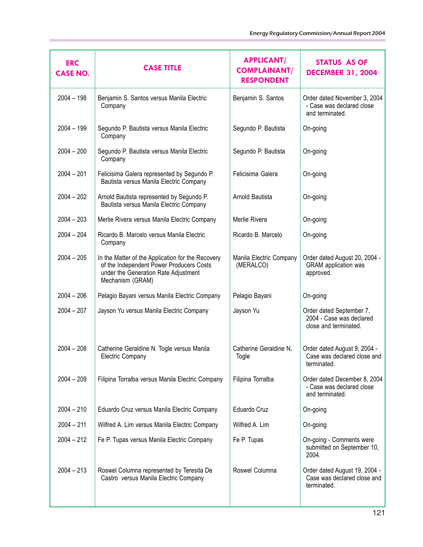| <b>ERC</b><br><b>CASE NO.</b> | <b>CASE TITLE</b>                                                                                                                                         | <b>APPLICANT/</b><br><b>COMPLAINANT/</b><br><b>RESPONDENT</b> | <b>STATUS AS OF</b><br><b>DECEMBER 31, 2004</b>                               |
|-------------------------------|-----------------------------------------------------------------------------------------------------------------------------------------------------------|---------------------------------------------------------------|-------------------------------------------------------------------------------|
| $2004 - 198$                  | Benjamin S. Santos versus Manila Electric<br>Company                                                                                                      | Benjamin S. Santos                                            | Order dated November 3, 2004<br>- Case was declared close<br>and terminated.  |
| $2004 - 199$                  | Segundo P. Bautista versus Manila Electric<br>Company                                                                                                     | Segundo P. Bautista                                           | On-going                                                                      |
| $2004 - 200$                  | Segundo P. Bautista versus Manila Electric<br>Company                                                                                                     | Segundo P. Bautista                                           | On-going                                                                      |
| $2004 - 201$                  | Felicisima Galera represented by Segundo P.<br>Bautista versus Manila Electric Company                                                                    | Felicisima Galera                                             | On-going                                                                      |
| $2004 - 202$                  | Arnold Bautista represented by Segundo P.<br>Bautista versus Manila Electric Company                                                                      | Arnold Bautista                                               | On-going                                                                      |
| $2004 - 203$                  | Merlie Rivera versus Manila Electric Company                                                                                                              | Merlie Rivera                                                 | On-going                                                                      |
| $2004 - 204$                  | Ricardo B. Marcelo versus Manila Electric<br>Company                                                                                                      | Ricardo B. Marcelo                                            | On-going                                                                      |
| $2004 - 205$                  | In the Matter of the Application for the Recovery<br>of the Independent Power Producers Costs<br>under the Generation Rate Adjustment<br>Mechanism (GRAM) | Manila Electric Company<br>(MERALCO)                          | Order dated August 20, 2004 -<br><b>GRAM</b> application was<br>approved.     |
| $2004 - 206$                  | Pelagio Bayani versus Manila Electric Company                                                                                                             | Pelagio Bayani                                                | On-going                                                                      |
| $2004 - 207$                  | Jayson Yu versus Manila Electric Company                                                                                                                  | Jayson Yu                                                     | Order dated September 7,<br>2004 - Case was declared<br>close and terminated. |
| $2004 - 208$                  | Catherine Geraldine N. Togle versus Manila<br><b>Electric Company</b>                                                                                     | Catherine Geraldine N.<br>Togle                               | Order dated August 9, 2004 -<br>Case was declared close and<br>terminated.    |
| $2004 - 209$                  | Filipina Torralba versus Manila Electric Company                                                                                                          | Filipina Torralba                                             | Order dated December 8, 2004<br>- Case was declared close<br>and terminated.  |
| $2004 - 210$                  | Eduardo Cruz versus Manila Electric Company                                                                                                               | Eduardo Cruz                                                  | On-going                                                                      |
| $2004 - 211$                  | Wilfred A. Lim versus Manila Electric Company                                                                                                             | Wilfred A. Lim                                                | On-going                                                                      |
| $2004 - 212$                  | Fe P. Tupas versus Manila Electric Company                                                                                                                | Fe P. Tupas                                                   | On-going - Comments were<br>submitted on September 10,<br>2004.               |
| $2004 - 213$                  | Roswel Columna represented by Teresita De<br>Castro versus Manila Electric Company                                                                        | Roswel Columna                                                | Order dated August 19, 2004 -<br>Case was declared close and<br>terminated.   |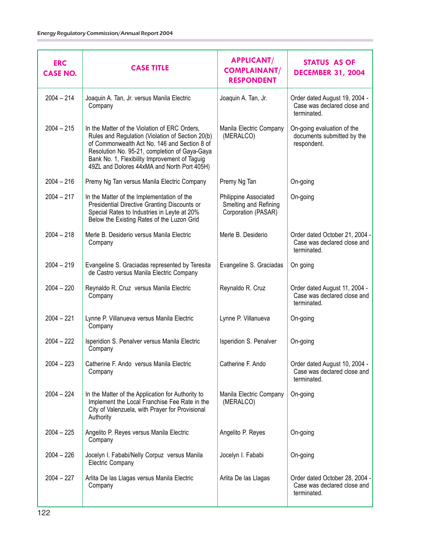| <b>ERC</b><br><b>CASE NO.</b> | <b>CASE TITLE</b>                                                                                                                                                                                                                                                                                  | <b>APPLICANT/</b><br><b>COMPLAINANT/</b><br><b>RESPONDENT</b>         | <b>STATUS AS OF</b><br><b>DECEMBER 31, 2004</b>                             |
|-------------------------------|----------------------------------------------------------------------------------------------------------------------------------------------------------------------------------------------------------------------------------------------------------------------------------------------------|-----------------------------------------------------------------------|-----------------------------------------------------------------------------|
| $2004 - 214$                  | Joaquin A. Tan, Jr. versus Manila Electric<br>Company                                                                                                                                                                                                                                              | Joaquin A. Tan, Jr.                                                   | Order dated August 19, 2004 -<br>Case was declared close and<br>terminated. |
| $2004 - 215$                  | In the Matter of the Violation of ERC Orders,<br>Rules and Regulation (Violation of Section 20(b)<br>of Commonwealth Act No. 146 and Section 8 of<br>Resolution No. 95-21, completion of Gaya-Gaya<br>Bank No. 1, Flexibility Improvement of Taguig<br>49ZL and Dolores 44xMA and North Port 405H) | Manila Electric Company<br>(MERALCO)                                  | On-going evaluation of the<br>documents submitted by the<br>respondent.     |
| $2004 - 216$                  | Premy Ng Tan versus Manila Electric Company                                                                                                                                                                                                                                                        | Premy Ng Tan                                                          | On-going                                                                    |
| $2004 - 217$                  | In the Matter of the Implementation of the<br>Presidential Directive Granting Discounts or<br>Special Rates to Industries in Leyte at 20%<br>Below the Existing Rates of the Luzon Grid                                                                                                            | Philippine Associated<br>Smelting and Refining<br>Corporation (PASAR) | On-going                                                                    |
| $2004 - 218$                  | Merle B. Desiderio versus Manila Electric<br>Company                                                                                                                                                                                                                                               | Merle B. Desiderio                                                    | Order dated October 21, 2004<br>Case was declared close and<br>terminated.  |
| $2004 - 219$                  | Evangeline S. Graciadas represented by Teresita<br>de Castro versus Manila Electric Company                                                                                                                                                                                                        | Evangeline S. Graciadas                                               | On going                                                                    |
| $2004 - 220$                  | Reynaldo R. Cruz versus Manila Electric<br>Company                                                                                                                                                                                                                                                 | Reynaldo R. Cruz                                                      | Order dated August 11, 2004 -<br>Case was declared close and<br>terminated. |
| $2004 - 221$                  | Lynne P. Villanueva versus Manila Electric<br>Company                                                                                                                                                                                                                                              | Lynne P. Villanueva                                                   | On-going                                                                    |
| $2004 - 222$                  | Isperidion S. Penalver versus Manila Electric<br>Company                                                                                                                                                                                                                                           | Isperidion S. Penalver                                                | On-going                                                                    |
| $2004 - 223$                  | Catherine F. Ando versus Manila Electric<br>Company                                                                                                                                                                                                                                                | Catherine F. Ando                                                     | Order dated August 10, 2004 -<br>Case was declared close and<br>terminated. |
| $2004 - 224$                  | In the Matter of the Application for Authority to<br>Implement the Local Franchise Fee Rate in the<br>City of Valenzuela, with Prayer for Provisional<br>Authority                                                                                                                                 | Manila Electric Company<br>(MERALCO)                                  | On-going                                                                    |
| $2004 - 225$                  | Angelito P. Reyes versus Manila Electric<br>Company                                                                                                                                                                                                                                                | Angelito P. Reyes                                                     | On-going                                                                    |
| $2004 - 226$                  | Jocelyn I. Fababi/Nelly Corpuz versus Manila<br><b>Electric Company</b>                                                                                                                                                                                                                            | Jocelyn I. Fababi                                                     | On-going                                                                    |
| $2004 - 227$                  | Arlita De las Llagas versus Manila Electric<br>Company                                                                                                                                                                                                                                             | Arlita De las Llagas                                                  | Order dated October 28, 2004<br>Case was declared close and<br>terminated.  |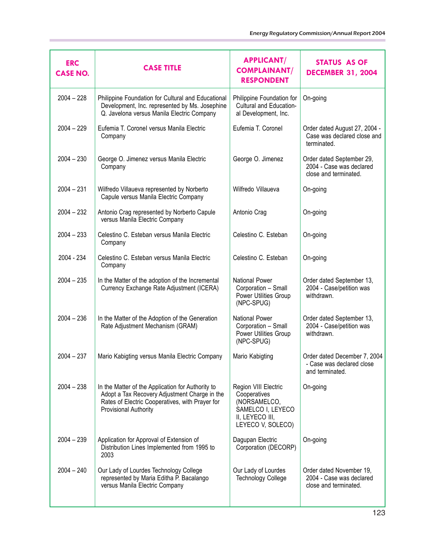| <b>ERC</b><br><b>CASE NO.</b> | <b>CASE TITLE</b>                                                                                                                                                              | <b>APPLICANT/</b><br><b>COMPLAINANT/</b><br><b>RESPONDENT</b>                                                     | <b>STATUS AS OF</b><br><b>DECEMBER 31, 2004</b>                                |
|-------------------------------|--------------------------------------------------------------------------------------------------------------------------------------------------------------------------------|-------------------------------------------------------------------------------------------------------------------|--------------------------------------------------------------------------------|
| $2004 - 228$                  | Philippine Foundation for Cultural and Educational<br>Development, Inc. represented by Ms. Josephine<br>Q. Javelona versus Manila Electric Company                             | Philippine Foundation for<br>Cultural and Education-<br>al Development, Inc.                                      | On-going                                                                       |
| $2004 - 229$                  | Eufemia T. Coronel versus Manila Electric<br>Company                                                                                                                           | Eufemia T. Coronel                                                                                                | Order dated August 27, 2004 -<br>Case was declared close and<br>terminated.    |
| $2004 - 230$                  | George O. Jimenez versus Manila Electric<br>Company                                                                                                                            | George O. Jimenez                                                                                                 | Order dated September 29,<br>2004 - Case was declared<br>close and terminated. |
| $2004 - 231$                  | Wilfredo Villaueva represented by Norberto<br>Capule versus Manila Electric Company                                                                                            | Wilfredo Villaueva                                                                                                | On-going                                                                       |
| $2004 - 232$                  | Antonio Crag represented by Norberto Capule<br>versus Manila Electric Company                                                                                                  | Antonio Crag                                                                                                      | On-going                                                                       |
| $2004 - 233$                  | Celestino C. Esteban versus Manila Electric<br>Company                                                                                                                         | Celestino C. Esteban                                                                                              | On-going                                                                       |
| 2004 - 234                    | Celestino C. Esteban versus Manila Electric<br>Company                                                                                                                         | Celestino C. Esteban                                                                                              | On-going                                                                       |
| $2004 - 235$                  | In the Matter of the adoption of the Incremental<br>Currency Exchange Rate Adjustment (ICERA)                                                                                  | <b>National Power</b><br>Corporation - Small<br>Power Utilities Group<br>(NPC-SPUG)                               | Order dated September 13,<br>2004 - Case/petition was<br>withdrawn.            |
| $2004 - 236$                  | In the Matter of the Adoption of the Generation<br>Rate Adjustment Mechanism (GRAM)                                                                                            | <b>National Power</b><br>Corporation - Small<br>Power Utilities Group<br>(NPC-SPUG)                               | Order dated September 13,<br>2004 - Case/petition was<br>withdrawn.            |
| $2004 - 237$                  | Mario Kabigting versus Manila Electric Company                                                                                                                                 | Mario Kabigting                                                                                                   | Order dated December 7, 2004<br>- Case was declared close<br>and terminated.   |
| $2004 - 238$                  | In the Matter of the Application for Authority to<br>Adopt a Tax Recovery Adjustment Charge in the<br>Rates of Electric Cooperatives, with Prayer for<br>Provisional Authority | Region VIII Electric<br>Cooperatives<br>(NORSAMELCO,<br>SAMELCO I, LEYECO<br>II, LEYECO III,<br>LEYECO V, SOLECO) | On-going                                                                       |
| $2004 - 239$                  | Application for Approval of Extension of<br>Distribution Lines Implemented from 1995 to<br>2003                                                                                | Dagupan Electric<br>Corporation (DECORP)                                                                          | On-going                                                                       |
| $2004 - 240$                  | Our Lady of Lourdes Technology College<br>represented by Maria Editha P. Bacalango<br>versus Manila Electric Company                                                           | Our Lady of Lourdes<br><b>Technology College</b>                                                                  | Order dated November 19,<br>2004 - Case was declared<br>close and terminated.  |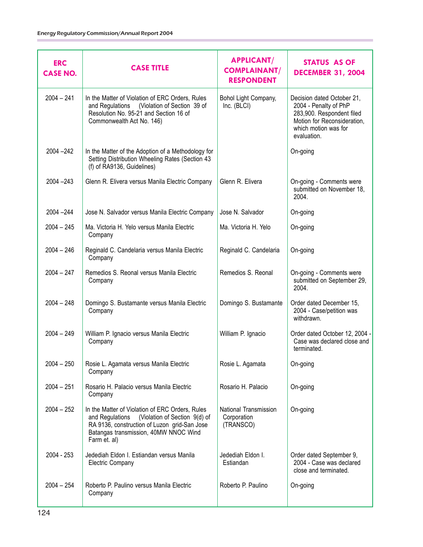| <b>ERC</b><br><b>CASE NO.</b> | <b>CASE TITLE</b>                                                                                                                                                                                            | <b>APPLICANT/</b><br><b>COMPLAINANT/</b><br><b>RESPONDENT</b> | <b>STATUS AS OF</b><br><b>DECEMBER 31, 2004</b>                                                                                                        |
|-------------------------------|--------------------------------------------------------------------------------------------------------------------------------------------------------------------------------------------------------------|---------------------------------------------------------------|--------------------------------------------------------------------------------------------------------------------------------------------------------|
| $2004 - 241$                  | In the Matter of Violation of ERC Orders, Rules<br>(Violation of Section 39 of<br>and Regulations<br>Resolution No. 95-21 and Section 16 of<br>Commonwealth Act No. 146)                                     | Bohol Light Company,<br>Inc. (BLCI)                           | Decision dated October 21,<br>2004 - Penalty of PhP<br>283,900. Respondent filed<br>Motion for Reconsideration,<br>which motion was for<br>evaluation. |
| $2004 - 242$                  | In the Matter of the Adoption of a Methodology for<br>Setting Distribution Wheeling Rates (Section 43<br>(f) of RA9136, Guidelines)                                                                          |                                                               | On-going                                                                                                                                               |
| $2004 - 243$                  | Glenn R. Elivera versus Manila Electric Company                                                                                                                                                              | Glenn R. Elivera                                              | On-going - Comments were<br>submitted on November 18.<br>2004.                                                                                         |
| $2004 - 244$                  | Jose N. Salvador versus Manila Electric Company                                                                                                                                                              | Jose N. Salvador                                              | On-going                                                                                                                                               |
| $2004 - 245$                  | Ma. Victoria H. Yelo versus Manila Electric<br>Company                                                                                                                                                       | Ma. Victoria H. Yelo                                          | On-going                                                                                                                                               |
| $2004 - 246$                  | Reginald C. Candelaria versus Manila Electric<br>Company                                                                                                                                                     | Reginald C. Candelaria                                        | On-going                                                                                                                                               |
| $2004 - 247$                  | Remedios S. Reonal versus Manila Electric<br>Company                                                                                                                                                         | Remedios S. Reonal                                            | On-going - Comments were<br>submitted on September 29,<br>2004.                                                                                        |
| $2004 - 248$                  | Domingo S. Bustamante versus Manila Electric<br>Company                                                                                                                                                      | Domingo S. Bustamante                                         | Order dated December 15,<br>2004 - Case/petition was<br>withdrawn.                                                                                     |
| $2004 - 249$                  | William P. Ignacio versus Manila Electric<br>Company                                                                                                                                                         | William P. Ignacio                                            | Order dated October 12, 2004 -<br>Case was declared close and<br>terminated.                                                                           |
| $2004 - 250$                  | Rosie L. Agamata versus Manila Electric<br>Company                                                                                                                                                           | Rosie L. Agamata                                              | On-going                                                                                                                                               |
| $2004 - 251$                  | Rosario H. Palacio versus Manila Electric<br>Company                                                                                                                                                         | Rosario H. Palacio                                            | On-going                                                                                                                                               |
| $2004 - 252$                  | In the Matter of Violation of ERC Orders, Rules<br>(Violation of Section 9(d) of<br>and Regulations<br>RA 9136, construction of Luzon grid-San Jose<br>Batangas transmission, 40MW NNOC Wind<br>Farm et. al) | National Transmission<br>Corporation<br>(TRANSCO)             | On-going                                                                                                                                               |
| 2004 - 253                    | Jedediah Eldon I. Estiandan versus Manila<br><b>Electric Company</b>                                                                                                                                         | Jedediah Eldon I.<br>Estiandan                                | Order dated September 9,<br>2004 - Case was declared<br>close and terminated.                                                                          |
| $2004 - 254$                  | Roberto P. Paulino versus Manila Electric<br>Company                                                                                                                                                         | Roberto P. Paulino                                            | On-going                                                                                                                                               |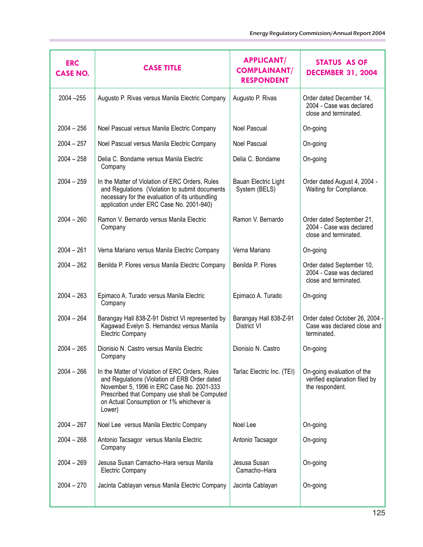| <b>ERC</b><br><b>CASE NO.</b> | <b>CASE TITLE</b>                                                                                                                                                                                                                                    | <b>APPLICANT/</b><br><b>COMPLAINANT/</b><br><b>RESPONDENT</b> | <b>STATUS AS OF</b><br><b>DECEMBER 31, 2004</b>                                |
|-------------------------------|------------------------------------------------------------------------------------------------------------------------------------------------------------------------------------------------------------------------------------------------------|---------------------------------------------------------------|--------------------------------------------------------------------------------|
| $2004 - 255$                  | Augusto P. Rivas versus Manila Electric Company                                                                                                                                                                                                      | Augusto P. Rivas                                              | Order dated December 14,<br>2004 - Case was declared<br>close and terminated.  |
| $2004 - 256$                  | Noel Pascual versus Manila Electric Company                                                                                                                                                                                                          | Noel Pascual                                                  | On-going                                                                       |
| $2004 - 257$                  | Noel Pascual versus Manila Electric Company                                                                                                                                                                                                          | Noel Pascual                                                  | On-going                                                                       |
| $2004 - 258$                  | Delia C. Bondame versus Manila Electric<br>Company                                                                                                                                                                                                   | Delia C. Bondame                                              | On-going                                                                       |
| $2004 - 259$                  | In the Matter of Violation of ERC Orders, Rules<br>and Regulations (Violation to submit documents<br>necessary for the evaluation of its unbundling<br>application under ERC Case No. 2001-940)                                                      | Bauan Electric Light<br>System (BELS)                         | Order dated August 4, 2004 -<br>Waiting for Compliance.                        |
| $2004 - 260$                  | Ramon V. Bernardo versus Manila Electric<br>Company                                                                                                                                                                                                  | Ramon V. Bernardo                                             | Order dated September 21,<br>2004 - Case was declared<br>close and terminated. |
| $2004 - 261$                  | Verna Mariano versus Manila Electric Company                                                                                                                                                                                                         | Verna Mariano                                                 | On-going                                                                       |
| $2004 - 262$                  | Benilda P. Flores versus Manila Electric Company                                                                                                                                                                                                     | Benilda P. Flores                                             | Order dated September 10,<br>2004 - Case was declared<br>close and terminated. |
| $2004 - 263$                  | Epimaco A. Turado versus Manila Electric<br>Company                                                                                                                                                                                                  | Epimaco A. Turado                                             | On-going                                                                       |
| $2004 - 264$                  | Barangay Hall 838-Z-91 District VI represented by<br>Kagawad Evelyn S. Hernandez versus Manila<br><b>Electric Company</b>                                                                                                                            | Barangay Hall 838-Z-91<br>District VI                         | Order dated October 26, 2004 -<br>Case was declared close and<br>terminated.   |
| $2004 - 265$                  | Dionisio N. Castro versus Manila Electric<br>Company                                                                                                                                                                                                 | Dionisio N. Castro                                            | On-going                                                                       |
| $2004 - 266$                  | In the Matter of Violation of ERC Orders, Rules<br>and Regulations (Violation of ERB Order dated<br>November 5, 1996 in ERC Case No. 2001-333<br>Prescribed that Company use shall be Computed<br>on Actual Consumption or 1% whichever is<br>Lower) | Tarlac Electric Inc. (TEI)                                    | On-going evaluation of the<br>verified explanation filed by<br>the respondent. |
| $2004 - 267$                  | Noel Lee versus Manila Electric Company                                                                                                                                                                                                              | Noel Lee                                                      | On-going                                                                       |
| $2004 - 268$                  | Antonio Tacsagor versus Manila Electric<br>Company                                                                                                                                                                                                   | Antonio Tacsagor                                              | On-going                                                                       |
| $2004 - 269$                  | Jesusa Susan Camacho-Hara versus Manila<br><b>Electric Company</b>                                                                                                                                                                                   | Jesusa Susan<br>Camacho-Hara                                  | On-going                                                                       |
| $2004 - 270$                  | Jacinta Cablayan versus Manila Electric Company                                                                                                                                                                                                      | Jacinta Cablayan                                              | On-going                                                                       |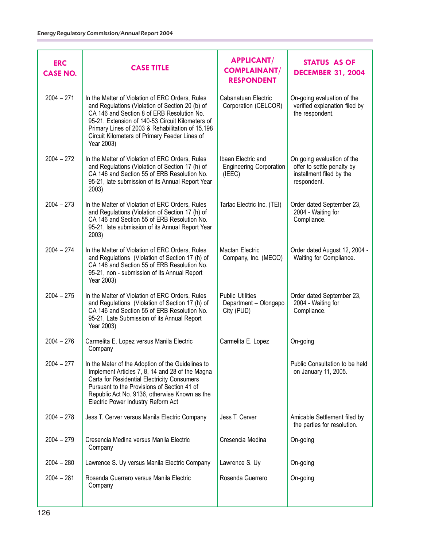| <b>ERC</b><br><b>CASE NO.</b> | <b>CASE TITLE</b>                                                                                                                                                                                                                                                                                                       | <b>APPLICANT/</b><br><b>COMPLAINANT/</b><br><b>RESPONDENT</b>  | <b>STATUS AS OF</b><br><b>DECEMBER 31, 2004</b>                                                     |
|-------------------------------|-------------------------------------------------------------------------------------------------------------------------------------------------------------------------------------------------------------------------------------------------------------------------------------------------------------------------|----------------------------------------------------------------|-----------------------------------------------------------------------------------------------------|
| $2004 - 271$                  | In the Matter of Violation of ERC Orders, Rules<br>and Regulations (Violation of Section 20 (b) of<br>CA 146 and Section 8 of ERB Resolution No.<br>95-21, Extension of 140-53 Circuit Kilometers of<br>Primary Lines of 2003 & Rehabilitation of 15.198<br>Circuit Kilometers of Primary Feeder Lines of<br>Year 2003) | Cabanatuan Electric<br>Corporation (CELCOR)                    | On-going evaluation of the<br>verified explanation filed by<br>the respondent.                      |
| $2004 - 272$                  | In the Matter of Violation of ERC Orders, Rules<br>and Regulations (Violation of Section 17 (h) of<br>CA 146 and Section 55 of ERB Resolution No.<br>95-21, late submission of its Annual Report Year<br>2003)                                                                                                          | Ibaan Electric and<br><b>Engineering Corporation</b><br>(IEEE) | On going evaluation of the<br>offer to settle penalty by<br>installment filed by the<br>respondent. |
| $2004 - 273$                  | In the Matter of Violation of ERC Orders, Rules<br>and Regulations (Violation of Section 17 (h) of<br>CA 146 and Section 55 of ERB Resolution No.<br>95-21, late submission of its Annual Report Year<br>2003)                                                                                                          | Tarlac Electric Inc. (TEI)                                     | Order dated September 23,<br>2004 - Waiting for<br>Compliance.                                      |
| $2004 - 274$                  | In the Matter of Violation of ERC Orders, Rules<br>and Regulations (Violation of Section 17 (h) of<br>CA 146 and Section 55 of ERB Resolution No.<br>95-21, non - submission of its Annual Report<br>Year 2003)                                                                                                         | <b>Mactan Electric</b><br>Company, Inc. (MECO)                 | Order dated August 12, 2004 -<br>Waiting for Compliance.                                            |
| $2004 - 275$                  | In the Matter of Violation of ERC Orders, Rules<br>and Regulations (Violation of Section 17 (h) of<br>CA 146 and Section 55 of ERB Resolution No.<br>95-21, Late Submission of its Annual Report<br>Year 2003)                                                                                                          | <b>Public Utilities</b><br>Department - Olongapo<br>City (PUD) | Order dated September 23,<br>2004 - Waiting for<br>Compliance.                                      |
| $2004 - 276$                  | Carmelita E. Lopez versus Manila Electric<br>Company                                                                                                                                                                                                                                                                    | Carmelita E. Lopez                                             | On-going                                                                                            |
| $2004 - 277$                  | In the Mater of the Adoption of the Guidelines to<br>Implement Articles 7, 8, 14 and 28 of the Magna<br>Carta for Residential Electricity Consumers<br>Pursuant to the Provisions of Section 41 of<br>Republic Act No. 9136, otherwise Known as the<br>Electric Power Industry Reform Act                               |                                                                | Public Consultation to be held<br>on January 11, 2005.                                              |
| $2004 - 278$                  | Jess T. Cerver versus Manila Electric Company                                                                                                                                                                                                                                                                           | Jess T. Cerver                                                 | Amicable Settlement filed by<br>the parties for resolution.                                         |
| $2004 - 279$                  | Cresencia Medina versus Manila Electric<br>Company                                                                                                                                                                                                                                                                      | Cresencia Medina                                               | On-going                                                                                            |
| $2004 - 280$                  | Lawrence S. Uy versus Manila Electric Company                                                                                                                                                                                                                                                                           | Lawrence S. Uy                                                 | On-going                                                                                            |
| $2004 - 281$                  | Rosenda Guerrero versus Manila Electric<br>Company                                                                                                                                                                                                                                                                      | Rosenda Guerrero                                               | On-going                                                                                            |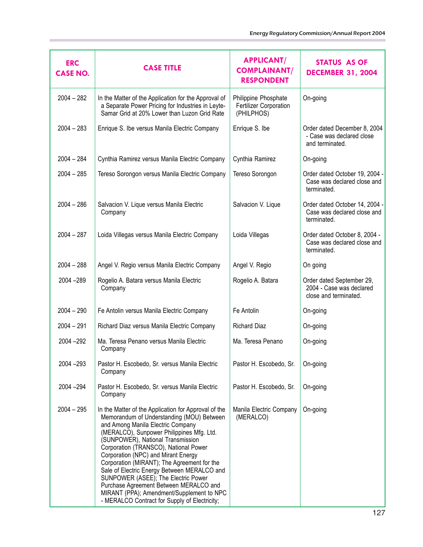| <b>ERC</b><br><b>CASE NO.</b> | <b>CASE TITLE</b>                                                                                                                                                                                                                                                                                                                                                                                                                                                                                                                                                                     | <b>APPLICANT/</b><br><b>COMPLAINANT/</b><br><b>RESPONDENT</b> | STATUS AS OF<br><b>DECEMBER 31, 2004</b>                                       |
|-------------------------------|---------------------------------------------------------------------------------------------------------------------------------------------------------------------------------------------------------------------------------------------------------------------------------------------------------------------------------------------------------------------------------------------------------------------------------------------------------------------------------------------------------------------------------------------------------------------------------------|---------------------------------------------------------------|--------------------------------------------------------------------------------|
| $2004 - 282$                  | In the Matter of the Application for the Approval of<br>a Separate Power Pricing for Industries in Leyte-<br>Samar Grid at 20% Lower than Luzon Grid Rate                                                                                                                                                                                                                                                                                                                                                                                                                             | Philippine Phosphate<br>Fertilizer Corporation<br>(PHILPHOS)  | On-going                                                                       |
| $2004 - 283$                  | Enrique S. Ibe versus Manila Electric Company                                                                                                                                                                                                                                                                                                                                                                                                                                                                                                                                         | Enrique S. Ibe                                                | Order dated December 8, 2004<br>- Case was declared close<br>and terminated.   |
| $2004 - 284$                  | Cynthia Ramirez versus Manila Electric Company                                                                                                                                                                                                                                                                                                                                                                                                                                                                                                                                        | Cynthia Ramirez                                               | On-going                                                                       |
| $2004 - 285$                  | Tereso Sorongon versus Manila Electric Company                                                                                                                                                                                                                                                                                                                                                                                                                                                                                                                                        | Tereso Sorongon                                               | Order dated October 19, 2004 -<br>Case was declared close and<br>terminated.   |
| $2004 - 286$                  | Salvacion V. Lique versus Manila Electric<br>Company                                                                                                                                                                                                                                                                                                                                                                                                                                                                                                                                  | Salvacion V. Lique                                            | Order dated October 14, 2004 -<br>Case was declared close and<br>terminated.   |
| $2004 - 287$                  | Loida Villegas versus Manila Electric Company                                                                                                                                                                                                                                                                                                                                                                                                                                                                                                                                         | Loida Villegas                                                | Order dated October 8, 2004 -<br>Case was declared close and<br>terminated.    |
| $2004 - 288$                  | Angel V. Regio versus Manila Electric Company                                                                                                                                                                                                                                                                                                                                                                                                                                                                                                                                         | Angel V. Regio                                                | On going                                                                       |
| 2004 - 289                    | Rogelio A. Batara versus Manila Electric<br>Company                                                                                                                                                                                                                                                                                                                                                                                                                                                                                                                                   | Rogelio A. Batara                                             | Order dated September 29,<br>2004 - Case was declared<br>close and terminated. |
| $2004 - 290$                  | Fe Antolin versus Manila Electric Company                                                                                                                                                                                                                                                                                                                                                                                                                                                                                                                                             | Fe Antolin                                                    | On-going                                                                       |
| $2004 - 291$                  | Richard Diaz versus Manila Electric Company                                                                                                                                                                                                                                                                                                                                                                                                                                                                                                                                           | <b>Richard Diaz</b>                                           | On-going                                                                       |
| 2004 - 292                    | Ma. Teresa Penano versus Manila Electric<br>Company                                                                                                                                                                                                                                                                                                                                                                                                                                                                                                                                   | Ma. Teresa Penano                                             | On-going                                                                       |
| 2004 - 293                    | Pastor H. Escobedo, Sr. versus Manila Electric<br>Company                                                                                                                                                                                                                                                                                                                                                                                                                                                                                                                             | Pastor H. Escobedo, Sr.                                       | On-going                                                                       |
| 2004 - 294                    | Pastor H. Escobedo, Sr. versus Manila Electric<br>Company                                                                                                                                                                                                                                                                                                                                                                                                                                                                                                                             | Pastor H. Escobedo, Sr.                                       | On-going                                                                       |
| $2004 - 295$                  | In the Matter of the Application for Approval of the<br>Memorandum of Understanding (MOU) Between<br>and Among Manila Electric Company<br>(MERALCO), Sunpower Philippines Mfg. Ltd.<br>(SUNPOWER), National Transmission<br>Corporation (TRANSCO), National Power<br>Corporation (NPC) and Mirant Energy<br>Corporation (MIRANT); The Agreement for the<br>Sale of Electric Energy Between MERALCO and<br>SUNPOWER (ASEE); The Electric Power<br>Purchase Agreement Between MERALCO and<br>MIRANT (PPA); Amendment/Supplement to NPC<br>- MERALCO Contract for Supply of Electricity; | Manila Electric Company<br>(MERALCO)                          | On-going                                                                       |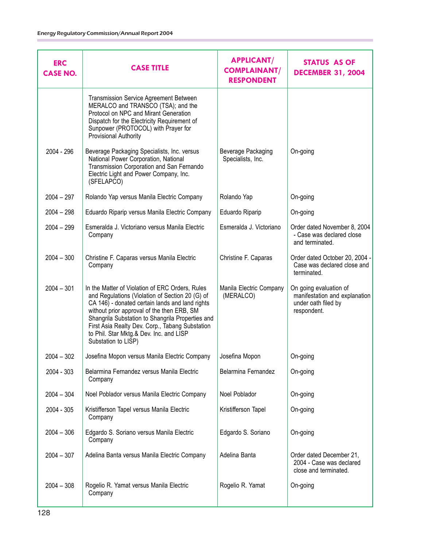| <b>ERC</b><br><b>CASE NO.</b> | <b>CASE TITLE</b>                                                                                                                                                                                                                                                                                                                                                            | <b>APPLICANT/</b><br><b>COMPLAINANT/</b><br><b>RESPONDENT</b> | STATUS AS OF<br><b>DECEMBER 31, 2004</b>                                                      |
|-------------------------------|------------------------------------------------------------------------------------------------------------------------------------------------------------------------------------------------------------------------------------------------------------------------------------------------------------------------------------------------------------------------------|---------------------------------------------------------------|-----------------------------------------------------------------------------------------------|
|                               | <b>Transmission Service Agreement Between</b><br>MERALCO and TRANSCO (TSA); and the<br>Protocol on NPC and Mirant Generation<br>Dispatch for the Electricity Requirement of<br>Sunpower (PROTOCOL) with Prayer for<br>Provisional Authority                                                                                                                                  |                                                               |                                                                                               |
| 2004 - 296                    | Beverage Packaging Specialists, Inc. versus<br>National Power Corporation, National<br>Transmission Corporation and San Fernando<br>Electric Light and Power Company, Inc.<br>(SFELAPCO)                                                                                                                                                                                     | Beverage Packaging<br>Specialists, Inc.                       | On-going                                                                                      |
| $2004 - 297$                  | Rolando Yap versus Manila Electric Company                                                                                                                                                                                                                                                                                                                                   | Rolando Yap                                                   | On-going                                                                                      |
| $2004 - 298$                  | Eduardo Riparip versus Manila Electric Company                                                                                                                                                                                                                                                                                                                               | Eduardo Riparip                                               | On-going                                                                                      |
| $2004 - 299$                  | Esmeralda J. Victoriano versus Manila Electric<br>Company                                                                                                                                                                                                                                                                                                                    | Esmeralda J. Victoriano                                       | Order dated November 8, 2004<br>- Case was declared close<br>and terminated.                  |
| $2004 - 300$                  | Christine F. Caparas versus Manila Electric<br>Company                                                                                                                                                                                                                                                                                                                       | Christine F. Caparas                                          | Order dated October 20, 2004 -<br>Case was declared close and<br>terminated.                  |
| $2004 - 301$                  | In the Matter of Violation of ERC Orders, Rules<br>and Regulations (Violation of Section 20 (G) of<br>CA 146) - donated certain lands and land rights<br>without prior approval of the then ERB, SM<br>Shangrila Substation to Shangrila Properties and<br>First Asia Realty Dev. Corp., Tabang Substation<br>to Phil. Star Mktg.& Dev. Inc. and LISP<br>Substation to LISP) | Manila Electric Company<br>(MERALCO)                          | On going evaluation of<br>manifestation and explanation<br>under oath filed by<br>respondent. |
| $2004 - 302$                  | Josefina Mopon versus Manila Electric Company                                                                                                                                                                                                                                                                                                                                | Josefina Mopon                                                | On-going                                                                                      |
| 2004 - 303                    | Belarmina Fernandez versus Manila Electric<br>Company                                                                                                                                                                                                                                                                                                                        | Belarmina Fernandez                                           | On-going                                                                                      |
| $2004 - 304$                  | Noel Poblador versus Manila Electric Company                                                                                                                                                                                                                                                                                                                                 | Noel Poblador                                                 | On-going                                                                                      |
| 2004 - 305                    | Kristifferson Tapel versus Manila Electric<br>Company                                                                                                                                                                                                                                                                                                                        | Kristifferson Tapel                                           | On-going                                                                                      |
| $2004 - 306$                  | Edgardo S. Soriano versus Manila Electric<br>Company                                                                                                                                                                                                                                                                                                                         | Edgardo S. Soriano                                            | On-going                                                                                      |
| $2004 - 307$                  | Adelina Banta versus Manila Electric Company                                                                                                                                                                                                                                                                                                                                 | Adelina Banta                                                 | Order dated December 21,<br>2004 - Case was declared<br>close and terminated.                 |
| $2004 - 308$                  | Rogelio R. Yamat versus Manila Electric<br>Company                                                                                                                                                                                                                                                                                                                           | Rogelio R. Yamat                                              | On-going                                                                                      |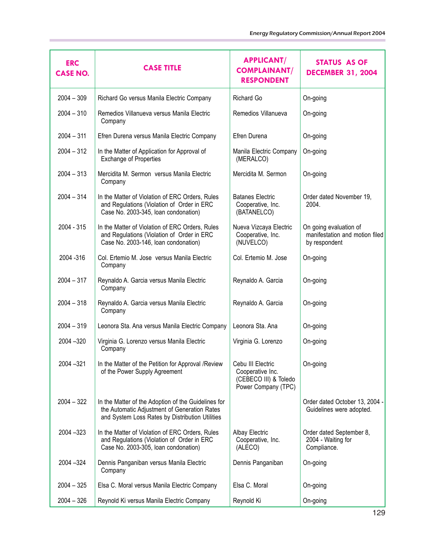| <b>ERC</b><br><b>CASE NO.</b> | <b>CASE TITLE</b>                                                                                                                                      | <b>APPLICANT/</b><br><b>COMPLAINANT/</b><br><b>RESPONDENT</b>                         | STATUS AS OF<br><b>DECEMBER 31, 2004</b>                                  |
|-------------------------------|--------------------------------------------------------------------------------------------------------------------------------------------------------|---------------------------------------------------------------------------------------|---------------------------------------------------------------------------|
| $2004 - 309$                  | Richard Go versus Manila Electric Company                                                                                                              | Richard Go                                                                            | On-going                                                                  |
| $2004 - 310$                  | Remedios Villanueva versus Manila Electric<br>Company                                                                                                  | Remedios Villanueva                                                                   | On-going                                                                  |
| $2004 - 311$                  | Efren Durena versus Manila Electric Company                                                                                                            | Efren Durena                                                                          | On-going                                                                  |
| $2004 - 312$                  | In the Matter of Application for Approval of<br><b>Exchange of Properties</b>                                                                          | Manila Electric Company<br>(MERALCO)                                                  | On-going                                                                  |
| $2004 - 313$                  | Mercidita M. Sermon versus Manila Electric<br>Company                                                                                                  | Mercidita M. Sermon                                                                   | On-going                                                                  |
| $2004 - 314$                  | In the Matter of Violation of ERC Orders, Rules<br>and Regulations (Violation of Order in ERC<br>Case No. 2003-345, Ioan condonation)                  | <b>Batanes Electric</b><br>Cooperative, Inc.<br>(BATANELCO)                           | Order dated November 19,<br>2004.                                         |
| 2004 - 315                    | In the Matter of Violation of ERC Orders, Rules<br>and Regulations (Violation of Order in ERC<br>Case No. 2003-146, Ioan condonation)                  | Nueva Vizcaya Electric<br>Cooperative, Inc.<br>(NUVELCO)                              | On going evaluation of<br>manifestation and motion filed<br>by respondent |
| 2004 - 316                    | Col. Ertemio M. Jose versus Manila Electric<br>Company                                                                                                 | Col. Ertemio M. Jose                                                                  | On-going                                                                  |
| $2004 - 317$                  | Reynaldo A. Garcia versus Manila Electric<br>Company                                                                                                   | Reynaldo A. Garcia                                                                    | On-going                                                                  |
| $2004 - 318$                  | Reynaldo A. Garcia versus Manila Electric<br>Company                                                                                                   | Reynaldo A. Garcia                                                                    | On-going                                                                  |
| $2004 - 319$                  | Leonora Sta. Ana versus Manila Electric Company                                                                                                        | Leonora Sta. Ana                                                                      | On-going                                                                  |
| $2004 - 320$                  | Virginia G. Lorenzo versus Manila Electric<br>Company                                                                                                  | Virginia G. Lorenzo                                                                   | On-going                                                                  |
| 2004 - 321                    | In the Matter of the Petition for Approval /Review<br>of the Power Supply Agreement                                                                    | Cebu III Electric<br>Cooperative Inc.<br>(CEBECO III) & Toledo<br>Power Company (TPC) | On-going                                                                  |
| $2004 - 322$                  | In the Matter of the Adoption of the Guidelines for<br>the Automatic Adjustment of Generation Rates<br>and System Loss Rates by Distribution Utilities |                                                                                       | Order dated October 13, 2004 -<br>Guidelines were adopted.                |
| $2004 - 323$                  | In the Matter of Violation of ERC Orders, Rules<br>and Regulations (Violation of Order in ERC<br>Case No. 2003-305, Ioan condonation)                  | <b>Albay Electric</b><br>Cooperative, Inc.<br>(ALECO)                                 | Order dated September 8,<br>2004 - Waiting for<br>Compliance.             |
| 2004 - 324                    | Dennis Panganiban versus Manila Electric<br>Company                                                                                                    | Dennis Panganiban                                                                     | On-going                                                                  |
| $2004 - 325$                  | Elsa C. Moral versus Manila Electric Company                                                                                                           | Elsa C. Moral                                                                         | On-going                                                                  |
| $2004 - 326$                  | Reynold Ki versus Manila Electric Company                                                                                                              | Reynold Ki                                                                            | On-going                                                                  |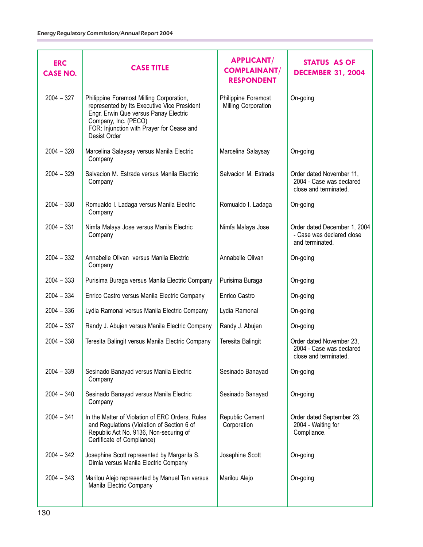| <b>ERC</b><br><b>CASE NO.</b> | <b>CASE TITLE</b>                                                                                                                                                                                                     | <b>APPLICANT/</b><br><b>COMPLAINANT/</b><br><b>RESPONDENT</b> | STATUS AS OF<br><b>DECEMBER 31, 2004</b>                                      |
|-------------------------------|-----------------------------------------------------------------------------------------------------------------------------------------------------------------------------------------------------------------------|---------------------------------------------------------------|-------------------------------------------------------------------------------|
| $2004 - 327$                  | Philippine Foremost Milling Corporation,<br>represented by Its Executive Vice President<br>Engr. Erwin Que versus Panay Electric<br>Company, Inc. (PECO)<br>FOR: Injunction with Prayer for Cease and<br>Desist Order | Philippine Foremost<br>Milling Corporation                    | On-going                                                                      |
| $2004 - 328$                  | Marcelina Salaysay versus Manila Electric<br>Company                                                                                                                                                                  | Marcelina Salaysay                                            | On-going                                                                      |
| $2004 - 329$                  | Salvacion M. Estrada versus Manila Electric<br>Company                                                                                                                                                                | Salvacion M. Estrada                                          | Order dated November 11,<br>2004 - Case was declared<br>close and terminated. |
| $2004 - 330$                  | Romualdo I. Ladaga versus Manila Electric<br>Company                                                                                                                                                                  | Romualdo I. Ladaga                                            | On-going                                                                      |
| $2004 - 331$                  | Nimfa Malaya Jose versus Manila Electric<br>Company                                                                                                                                                                   | Nimfa Malaya Jose                                             | Order dated December 1, 2004<br>- Case was declared close<br>and terminated.  |
| $2004 - 332$                  | Annabelle Olivan versus Manila Electric<br>Company                                                                                                                                                                    | Annabelle Olivan                                              | On-going                                                                      |
| $2004 - 333$                  | Purisima Buraga versus Manila Electric Company                                                                                                                                                                        | Purisima Buraga                                               | On-going                                                                      |
| $2004 - 334$                  | Enrico Castro versus Manila Electric Company                                                                                                                                                                          | Enrico Castro                                                 | On-going                                                                      |
| $2004 - 336$                  | Lydia Ramonal versus Manila Electric Company                                                                                                                                                                          | Lydia Ramonal                                                 | On-going                                                                      |
| $2004 - 337$                  | Randy J. Abujen versus Manila Electric Company                                                                                                                                                                        | Randy J. Abujen                                               | On-going                                                                      |
| $2004 - 338$                  | Teresita Balingit versus Manila Electric Company                                                                                                                                                                      | Teresita Balingit                                             | Order dated November 23,<br>2004 - Case was declared<br>close and terminated. |
| $2004 - 339$                  | Sesinado Banayad versus Manila Electric<br>Company                                                                                                                                                                    | Sesinado Banayad                                              | On-going                                                                      |
| $2004 - 340$                  | Sesinado Banayad versus Manila Electric<br>Company                                                                                                                                                                    | Sesinado Banayad                                              | On-going                                                                      |
| $2004 - 341$                  | In the Matter of Violation of ERC Orders, Rules<br>and Regulations (Violation of Section 6 of<br>Republic Act No. 9136, Non-securing of<br>Certificate of Compliance)                                                 | Republic Cement<br>Corporation                                | Order dated September 23,<br>2004 - Waiting for<br>Compliance.                |
| $2004 - 342$                  | Josephine Scott represented by Margarita S.<br>Dimla versus Manila Electric Company                                                                                                                                   | Josephine Scott                                               | On-going                                                                      |
| $2004 - 343$                  | Marilou Alejo represented by Manuel Tan versus<br>Manila Electric Company                                                                                                                                             | Marilou Alejo                                                 | On-going                                                                      |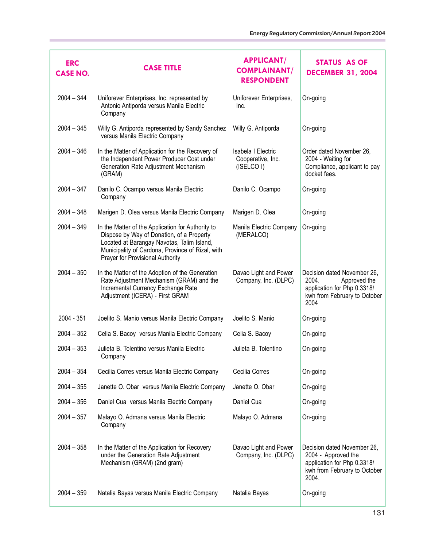| <b>ERC</b><br><b>CASE NO.</b> | <b>CASE TITLE</b>                                                                                                                                                                                                                    | <b>APPLICANT/</b><br><b>COMPLAINANT/</b><br><b>RESPONDENT</b> | <b>STATUS AS OF</b><br><b>DECEMBER 31, 2004</b>                                                                             |
|-------------------------------|--------------------------------------------------------------------------------------------------------------------------------------------------------------------------------------------------------------------------------------|---------------------------------------------------------------|-----------------------------------------------------------------------------------------------------------------------------|
| $2004 - 344$                  | Uniforever Enterprises, Inc. represented by<br>Antonio Antiporda versus Manila Electric<br>Company                                                                                                                                   | Uniforever Enterprises,<br>Inc.                               | On-going                                                                                                                    |
| $2004 - 345$                  | Willy G. Antiporda represented by Sandy Sanchez<br>versus Manila Electric Company                                                                                                                                                    | Willy G. Antiporda                                            | On-going                                                                                                                    |
| $2004 - 346$                  | In the Matter of Application for the Recovery of<br>the Independent Power Producer Cost under<br>Generation Rate Adjustment Mechanism<br>(GRAM)                                                                                      | Isabela I Electric<br>Cooperative, Inc.<br>(ISELCO I)         | Order dated November 26,<br>2004 - Waiting for<br>Compliance, applicant to pay<br>docket fees.                              |
| $2004 - 347$                  | Danilo C. Ocampo versus Manila Electric<br>Company                                                                                                                                                                                   | Danilo C. Ocampo                                              | On-going                                                                                                                    |
| $2004 - 348$                  | Marigen D. Olea versus Manila Electric Company                                                                                                                                                                                       | Marigen D. Olea                                               | On-going                                                                                                                    |
| $2004 - 349$                  | In the Matter of the Application for Authority to<br>Dispose by Way of Donation, of a Property<br>Located at Barangay Navotas, Talim Island,<br>Municipality of Cardona, Province of Rizal, with<br>Prayer for Provisional Authority | Manila Electric Company<br>(MERALCO)                          | On-going                                                                                                                    |
| $2004 - 350$                  | In the Matter of the Adoption of the Generation<br>Rate Adjustment Mechanism (GRAM) and the<br>Incremental Currency Exchange Rate<br>Adjustment (ICERA) - First GRAM                                                                 | Davao Light and Power<br>Company, Inc. (DLPC)                 | Decision dated November 26,<br>2004.<br>Approved the<br>application for Php 0.3318/<br>kwh from February to October<br>2004 |
| 2004 - 351                    | Joelito S. Manio versus Manila Electric Company                                                                                                                                                                                      | Joelito S. Manio                                              | On-going                                                                                                                    |
| $2004 - 352$                  | Celia S. Bacoy versus Manila Electric Company                                                                                                                                                                                        | Celia S. Bacoy                                                | On-going                                                                                                                    |
| $2004 - 353$                  | Julieta B. Tolentino versus Manila Electric<br>Company                                                                                                                                                                               | Julieta B. Tolentino                                          | On-going                                                                                                                    |
| $2004 - 354$                  | Cecilia Corres versus Manila Electric Company                                                                                                                                                                                        | Cecilia Corres                                                | On-going                                                                                                                    |
| $2004 - 355$                  | Janette O. Obar versus Manila Electric Company                                                                                                                                                                                       | Janette O. Obar                                               | On-going                                                                                                                    |
| $2004 - 356$                  | Daniel Cua versus Manila Electric Company                                                                                                                                                                                            | Daniel Cua                                                    | On-going                                                                                                                    |
| $2004 - 357$                  | Malayo O. Admana versus Manila Electric<br>Company                                                                                                                                                                                   | Malayo O. Admana                                              | On-going                                                                                                                    |
| $2004 - 358$                  | In the Matter of the Application for Recovery<br>under the Generation Rate Adjustment<br>Mechanism (GRAM) (2nd gram)                                                                                                                 | Davao Light and Power<br>Company, Inc. (DLPC)                 | Decision dated November 26,<br>2004 - Approved the<br>application for Php 0.3318/<br>kwh from February to October<br>2004.  |
| $2004 - 359$                  | Natalia Bayas versus Manila Electric Company                                                                                                                                                                                         | Natalia Bayas                                                 | On-going                                                                                                                    |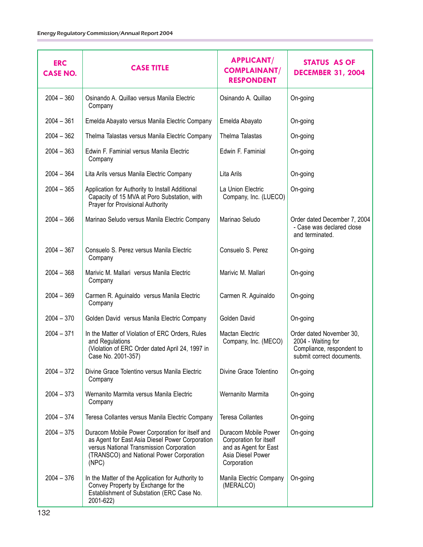| <b>ERC</b><br><b>CASE NO.</b> | <b>CASE TITLE</b>                                                                                                                                                                                   | <b>APPLICANT/</b><br><b>COMPLAINANT/</b><br><b>RESPONDENT</b>                                               | STATUS AS OF<br><b>DECEMBER 31, 2004</b>                                                                 |
|-------------------------------|-----------------------------------------------------------------------------------------------------------------------------------------------------------------------------------------------------|-------------------------------------------------------------------------------------------------------------|----------------------------------------------------------------------------------------------------------|
| $2004 - 360$                  | Osinando A. Quillao versus Manila Electric<br>Company                                                                                                                                               | Osinando A. Quillao                                                                                         | On-going                                                                                                 |
| $2004 - 361$                  | Emelda Abayato versus Manila Electric Company                                                                                                                                                       | Emelda Abayato                                                                                              | On-going                                                                                                 |
| $2004 - 362$                  | Thelma Talastas versus Manila Electric Company                                                                                                                                                      | Thelma Talastas                                                                                             | On-going                                                                                                 |
| $2004 - 363$                  | Edwin F. Faminial versus Manila Electric<br>Company                                                                                                                                                 | Edwin F. Faminial                                                                                           | On-going                                                                                                 |
| $2004 - 364$                  | Lita Arils versus Manila Electric Company                                                                                                                                                           | Lita Arils                                                                                                  | On-going                                                                                                 |
| $2004 - 365$                  | Application for Authority to Install Additional<br>Capacity of 15 MVA at Poro Substation, with<br>Prayer for Provisional Authority                                                                  | La Union Electric<br>Company, Inc. (LUECO)                                                                  | On-going                                                                                                 |
| $2004 - 366$                  | Marinao Seludo versus Manila Electric Company                                                                                                                                                       | Marinao Seludo                                                                                              | Order dated December 7, 2004<br>- Case was declared close<br>and terminated.                             |
| $2004 - 367$                  | Consuelo S. Perez versus Manila Electric<br>Company                                                                                                                                                 | Consuelo S. Perez                                                                                           | On-going                                                                                                 |
| $2004 - 368$                  | Marivic M. Mallari versus Manila Electric<br>Company                                                                                                                                                | Marivic M. Mallari                                                                                          | On-going                                                                                                 |
| $2004 - 369$                  | Carmen R. Aguinaldo versus Manila Electric<br>Company                                                                                                                                               | Carmen R. Aguinaldo                                                                                         | On-going                                                                                                 |
| $2004 - 370$                  | Golden David versus Manila Electric Company                                                                                                                                                         | Golden David                                                                                                | On-going                                                                                                 |
| $2004 - 371$                  | In the Matter of Violation of ERC Orders, Rules<br>and Regulations<br>(Violation of ERC Order dated April 24, 1997 in<br>Case No. 2001-357)                                                         | <b>Mactan Electric</b><br>Company, Inc. (MECO)                                                              | Order dated November 30,<br>2004 - Waiting for<br>Compliance, respondent to<br>submit correct documents. |
| $2004 - 372$                  | Divine Grace Tolentino versus Manila Electric<br>Company                                                                                                                                            | Divine Grace Tolentino                                                                                      | On-going                                                                                                 |
| $2004 - 373$                  | Wernanito Marmita versus Manila Electric<br>Company                                                                                                                                                 | Wernanito Marmita                                                                                           | On-going                                                                                                 |
| $2004 - 374$                  | Teresa Collantes versus Manila Electric Company                                                                                                                                                     | <b>Teresa Collantes</b>                                                                                     | On-going                                                                                                 |
| $2004 - 375$                  | Duracom Mobile Power Corporation for itself and<br>as Agent for East Asia Diesel Power Corporation<br>versus National Transmission Corporation<br>(TRANSCO) and National Power Corporation<br>(NPC) | Duracom Mobile Power<br>Corporation for itself<br>and as Agent for East<br>Asia Diesel Power<br>Corporation | On-going                                                                                                 |
| $2004 - 376$                  | In the Matter of the Application for Authority to<br>Convey Property by Exchange for the<br>Establishment of Substation (ERC Case No.<br>2001-622)                                                  | Manila Electric Company<br>(MERALCO)                                                                        | On-going                                                                                                 |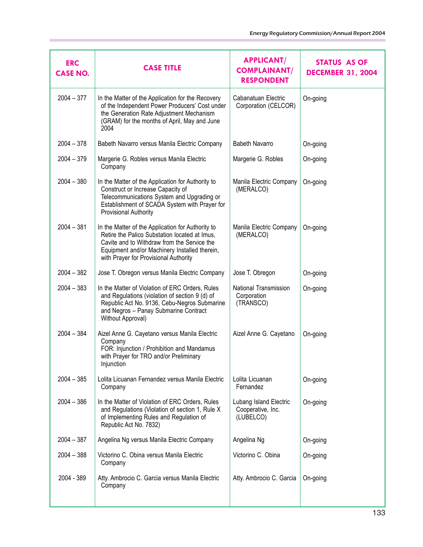| <b>ERC</b><br><b>CASE NO.</b> | <b>CASE TITLE</b>                                                                                                                                                                                                                           | <b>APPLICANT/</b><br><b>COMPLAINANT/</b><br><b>RESPONDENT</b> | <b>STATUS AS OF</b><br><b>DECEMBER 31, 2004</b> |
|-------------------------------|---------------------------------------------------------------------------------------------------------------------------------------------------------------------------------------------------------------------------------------------|---------------------------------------------------------------|-------------------------------------------------|
| $2004 - 377$                  | In the Matter of the Application for the Recovery<br>of the Independent Power Producers' Cost under<br>the Generation Rate Adjustment Mechanism<br>(GRAM) for the months of April, May and June<br>2004                                     | Cabanatuan Electric<br>Corporation (CELCOR)                   | On-going                                        |
| $2004 - 378$                  | Babeth Navarro versus Manila Electric Company                                                                                                                                                                                               | <b>Babeth Navarro</b>                                         | On-going                                        |
| $2004 - 379$                  | Margerie G. Robles versus Manila Electric<br>Company                                                                                                                                                                                        | Margerie G. Robles                                            | On-going                                        |
| $2004 - 380$                  | In the Matter of the Application for Authority to<br>Construct or Increase Capacity of<br>Telecommunications System and Upgrading or<br>Establishment of SCADA System with Prayer for<br>Provisional Authority                              | Manila Electric Company<br>(MERALCO)                          | On-going                                        |
| $2004 - 381$                  | In the Matter of the Application for Authority to<br>Retire the Palico Substation located at Imus,<br>Cavite and to Withdraw from the Service the<br>Equipment and/or Machinery Installed therein,<br>with Prayer for Provisional Authority | Manila Electric Company<br>(MERALCO)                          | On-going                                        |
| $2004 - 382$                  | Jose T. Obregon versus Manila Electric Company                                                                                                                                                                                              | Jose T. Obregon                                               | On-going                                        |
| $2004 - 383$                  | In the Matter of Violation of ERC Orders, Rules<br>and Regulations (violation of section 9 (d) of<br>Republic Act No. 9136, Cebu-Negros Submarine<br>and Negros - Panay Submarine Contract<br>Without Approval)                             | National Transmission<br>Corporation<br>(TRANSCO)             | On-going                                        |
| $2004 - 384$                  | Aizel Anne G. Cayetano versus Manila Electric<br>Company<br>FOR: Injunction / Prohibition and Mandamus<br>with Prayer for TRO and/or Preliminary<br>Injunction                                                                              | Aizel Anne G. Cayetano                                        | On-going                                        |
| $2004 - 385$                  | Lolita Licuanan Fernandez versus Manila Electric<br>Company                                                                                                                                                                                 | Lolita Licuanan<br>Fernandez                                  | On-going                                        |
| $2004 - 386$                  | In the Matter of Violation of ERC Orders, Rules<br>and Regulations (Violation of section 1, Rule X<br>of Implementing Rules and Regulation of<br>Republic Act No. 7832)                                                                     | Lubang Island Electric<br>Cooperative, Inc.<br>(LUBELCO)      | On-going                                        |
| $2004 - 387$                  | Angelina Ng versus Manila Electric Company                                                                                                                                                                                                  | Angelina Ng                                                   | On-going                                        |
| $2004 - 388$                  | Victorino C. Obina versus Manila Electric<br>Company                                                                                                                                                                                        | Victorino C. Obina                                            | On-going                                        |
| 2004 - 389                    | Atty. Ambrocio C. Garcia versus Manila Electric<br>Company                                                                                                                                                                                  | Atty. Ambrocio C. Garcia                                      | On-going                                        |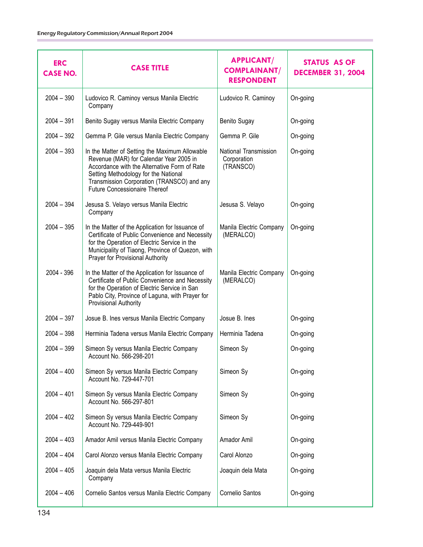| <b>ERC</b><br><b>CASE NO.</b> | <b>CASE TITLE</b>                                                                                                                                                                                                                                                       | <b>APPLICANT/</b><br><b>COMPLAINANT/</b><br><b>RESPONDENT</b> | STATUS AS OF<br><b>DECEMBER 31, 2004</b> |
|-------------------------------|-------------------------------------------------------------------------------------------------------------------------------------------------------------------------------------------------------------------------------------------------------------------------|---------------------------------------------------------------|------------------------------------------|
| $2004 - 390$                  | Ludovico R. Caminoy versus Manila Electric<br>Company                                                                                                                                                                                                                   | Ludovico R. Caminoy                                           | On-going                                 |
| $2004 - 391$                  | Benito Sugay versus Manila Electric Company                                                                                                                                                                                                                             | <b>Benito Sugay</b>                                           | On-going                                 |
| $2004 - 392$                  | Gemma P. Gile versus Manila Electric Company                                                                                                                                                                                                                            | Gemma P. Gile                                                 | On-going                                 |
| $2004 - 393$                  | In the Matter of Setting the Maximum Allowable<br>Revenue (MAR) for Calendar Year 2005 in<br>Accordance with the Alternative Form of Rate<br>Setting Methodology for the National<br>Transmission Corporation (TRANSCO) and any<br><b>Future Concessionaire Thereof</b> | National Transmission<br>Corporation<br>(TRANSCO)             | On-going                                 |
| $2004 - 394$                  | Jesusa S. Velayo versus Manila Electric<br>Company                                                                                                                                                                                                                      | Jesusa S. Velayo                                              | On-going                                 |
| $2004 - 395$                  | In the Matter of the Application for Issuance of<br>Certificate of Public Convenience and Necessity<br>for the Operation of Electric Service in the<br>Municipality of Tiaong, Province of Quezon, with<br>Prayer for Provisional Authority                             | Manila Electric Company<br>(MERALCO)                          | On-going                                 |
| 2004 - 396                    | In the Matter of the Application for Issuance of<br>Certificate of Public Convenience and Necessity<br>for the Operation of Electric Service in San<br>Pablo City, Province of Laguna, with Prayer for<br>Provisional Authority                                         | Manila Electric Company<br>(MERALCO)                          | On-going                                 |
| $2004 - 397$                  | Josue B. Ines versus Manila Electric Company                                                                                                                                                                                                                            | Josue B. Ines                                                 | On-going                                 |
| $2004 - 398$                  | Herminia Tadena versus Manila Electric Company                                                                                                                                                                                                                          | Herminia Tadena                                               | On-going                                 |
| $2004 - 399$                  | Simeon Sy versus Manila Electric Company<br>Account No. 566-298-201                                                                                                                                                                                                     | Simeon Sy                                                     | On-going                                 |
| $2004 - 400$                  | Simeon Sy versus Manila Electric Company<br>Account No. 729-447-701                                                                                                                                                                                                     | Simeon Sy                                                     | On-going                                 |
| $2004 - 401$                  | Simeon Sy versus Manila Electric Company<br>Account No. 566-297-801                                                                                                                                                                                                     | Simeon Sy                                                     | On-going                                 |
| $2004 - 402$                  | Simeon Sy versus Manila Electric Company<br>Account No. 729-449-901                                                                                                                                                                                                     | Simeon Sy                                                     | On-going                                 |
| $2004 - 403$                  | Amador Amil versus Manila Electric Company                                                                                                                                                                                                                              | Amador Amil                                                   | On-going                                 |
| $2004 - 404$                  | Carol Alonzo versus Manila Electric Company                                                                                                                                                                                                                             | Carol Alonzo                                                  | On-going                                 |
| $2004 - 405$                  | Joaquin dela Mata versus Manila Electric<br>Company                                                                                                                                                                                                                     | Joaquin dela Mata                                             | On-going                                 |
| $2004 - 406$                  | Cornelio Santos versus Manila Electric Company                                                                                                                                                                                                                          | Cornelio Santos                                               | On-going                                 |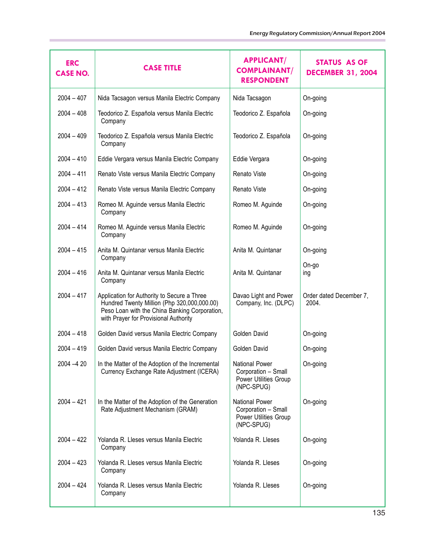| <b>ERC</b><br><b>CASE NO.</b> | <b>CASE TITLE</b>                                                                                                                                                                    | <b>APPLICANT/</b><br><b>COMPLAINANT/</b><br><b>RESPONDENT</b>                       | STATUS AS OF<br><b>DECEMBER 31, 2004</b> |
|-------------------------------|--------------------------------------------------------------------------------------------------------------------------------------------------------------------------------------|-------------------------------------------------------------------------------------|------------------------------------------|
| $2004 - 407$                  | Nida Tacsagon versus Manila Electric Company                                                                                                                                         | Nida Tacsagon                                                                       | On-going                                 |
| $2004 - 408$                  | Teodorico Z. Española versus Manila Electric<br>Company                                                                                                                              | Teodorico Z. Española                                                               | On-going                                 |
| $2004 - 409$                  | Teodorico Z. Española versus Manila Electric<br>Company                                                                                                                              | Teodorico Z. Española                                                               | On-going                                 |
| $2004 - 410$                  | Eddie Vergara versus Manila Electric Company                                                                                                                                         | Eddie Vergara                                                                       | On-going                                 |
| $2004 - 411$                  | Renato Viste versus Manila Electric Company                                                                                                                                          | Renato Viste                                                                        | On-going                                 |
| $2004 - 412$                  | Renato Viste versus Manila Electric Company                                                                                                                                          | Renato Viste                                                                        | On-going                                 |
| $2004 - 413$                  | Romeo M. Aguinde versus Manila Electric<br>Company                                                                                                                                   | Romeo M. Aguinde                                                                    | On-going                                 |
| $2004 - 414$                  | Romeo M. Aguinde versus Manila Electric<br>Company                                                                                                                                   | Romeo M. Aguinde                                                                    | On-going                                 |
| $2004 - 415$                  | Anita M. Quintanar versus Manila Electric<br>Company                                                                                                                                 | Anita M. Quintanar                                                                  | On-going                                 |
| $2004 - 416$                  | Anita M. Quintanar versus Manila Electric<br>Company                                                                                                                                 | Anita M. Quintanar                                                                  | On-go<br>ing                             |
| $2004 - 417$                  | Application for Authority to Secure a Three<br>Hundred Twenty Million (Php 320,000,000.00)<br>Peso Loan with the China Banking Corporation,<br>with Prayer for Provisional Authority | Davao Light and Power<br>Company, Inc. (DLPC)                                       | Order dated December 7,<br>2004.         |
| $2004 - 418$                  | Golden David versus Manila Electric Company                                                                                                                                          | Golden David                                                                        | On-going                                 |
| $2004 - 419$                  | Golden David versus Manila Electric Company                                                                                                                                          | Golden David                                                                        | On-going                                 |
| $2004 - 420$                  | In the Matter of the Adoption of the Incremental<br>Currency Exchange Rate Adjustment (ICERA)                                                                                        | <b>National Power</b><br>Corporation - Small<br>Power Utilities Group<br>(NPC-SPUG) | On-going                                 |
| $2004 - 421$                  | In the Matter of the Adoption of the Generation<br>Rate Adjustment Mechanism (GRAM)                                                                                                  | <b>National Power</b><br>Corporation - Small<br>Power Utilities Group<br>(NPC-SPUG) | On-going                                 |
| $2004 - 422$                  | Yolanda R. Lleses versus Manila Electric<br>Company                                                                                                                                  | Yolanda R. Lleses                                                                   | On-going                                 |
| $2004 - 423$                  | Yolanda R. Lleses versus Manila Electric<br>Company                                                                                                                                  | Yolanda R. Lleses                                                                   | On-going                                 |
| $2004 - 424$                  | Yolanda R. Lleses versus Manila Electric<br>Company                                                                                                                                  | Yolanda R. Lleses                                                                   | On-going                                 |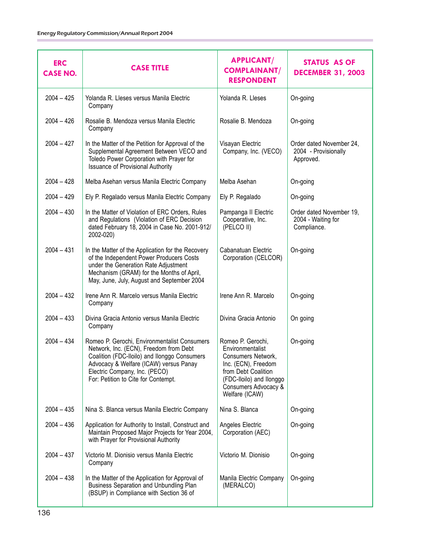| <b>ERC</b><br><b>CASE NO.</b> | <b>CASE TITLE</b>                                                                                                                                                                                                                                        | <b>APPLICANT/</b><br><b>COMPLAINANT/</b><br><b>RESPONDENT</b>                                                                                                                   | <b>STATUS AS OF</b><br><b>DECEMBER 31, 2003</b>               |
|-------------------------------|----------------------------------------------------------------------------------------------------------------------------------------------------------------------------------------------------------------------------------------------------------|---------------------------------------------------------------------------------------------------------------------------------------------------------------------------------|---------------------------------------------------------------|
| $2004 - 425$                  | Yolanda R. Lleses versus Manila Electric<br>Company                                                                                                                                                                                                      | Yolanda R. Lleses                                                                                                                                                               | On-going                                                      |
| $2004 - 426$                  | Rosalie B. Mendoza versus Manila Electric<br>Company                                                                                                                                                                                                     | Rosalie B. Mendoza                                                                                                                                                              | On-going                                                      |
| $2004 - 427$                  | In the Matter of the Petition for Approval of the<br>Supplemental Agreement Between VECO and<br>Toledo Power Corporation with Prayer for<br><b>Issuance of Provisional Authority</b>                                                                     | Visayan Electric<br>Company, Inc. (VECO)                                                                                                                                        | Order dated November 24,<br>2004 - Provisionally<br>Approved. |
| $2004 - 428$                  | Melba Asehan versus Manila Electric Company                                                                                                                                                                                                              | Melba Asehan                                                                                                                                                                    | On-going                                                      |
| $2004 - 429$                  | Ely P. Regalado versus Manila Electric Company                                                                                                                                                                                                           | Ely P. Regalado                                                                                                                                                                 | On-going                                                      |
| $2004 - 430$                  | In the Matter of Violation of ERC Orders, Rules<br>and Regulations (Violation of ERC Decision<br>dated February 18, 2004 in Case No. 2001-912/<br>2002-020)                                                                                              | Pampanga II Electric<br>Cooperative, Inc.<br>(PELCO II)                                                                                                                         | Order dated November 19,<br>2004 - Waiting for<br>Compliance. |
| $2004 - 431$                  | In the Matter of the Application for the Recovery<br>of the Independent Power Producers Costs<br>under the Generation Rate Adjustment<br>Mechanism (GRAM) for the Months of April,<br>May, June, July, August and September 2004                         | Cabanatuan Electric<br>Corporation (CELCOR)                                                                                                                                     | On-going                                                      |
| $2004 - 432$                  | Irene Ann R. Marcelo versus Manila Electric<br>Company                                                                                                                                                                                                   | Irene Ann R. Marcelo                                                                                                                                                            | On-going                                                      |
| $2004 - 433$                  | Divina Gracia Antonio versus Manila Electric<br>Company                                                                                                                                                                                                  | Divina Gracia Antonio                                                                                                                                                           | On going                                                      |
| $2004 - 434$                  | Romeo P. Gerochi, Environmentalist Consumers<br>Network, Inc. (ECN), Freedom from Debt<br>Coalition (FDC-Iloilo) and Ilonggo Consumers<br>Advocacy & Welfare (ICAW) versus Panay<br>Electric Company, Inc. (PECO)<br>For: Petition to Cite for Contempt. | Romeo P. Gerochi,<br>Environmentalist<br>Consumers Network,<br>Inc. (ECN), Freedom<br>from Debt Coalition<br>(FDC-Iloilo) and Ilonggo<br>Consumers Advocacy &<br>Welfare (ICAW) | On-going                                                      |
| $2004 - 435$                  | Nina S. Blanca versus Manila Electric Company                                                                                                                                                                                                            | Nina S. Blanca                                                                                                                                                                  | On-going                                                      |
| $2004 - 436$                  | Application for Authority to Install, Construct and<br>Maintain Proposed Major Projects for Year 2004,<br>with Prayer for Provisional Authority                                                                                                          | Angeles Electric<br>Corporation (AEC)                                                                                                                                           | On-going                                                      |
| $2004 - 437$                  | Victorio M. Dionisio versus Manila Electric<br>Company                                                                                                                                                                                                   | Victorio M. Dionisio                                                                                                                                                            | On-going                                                      |
| $2004 - 438$                  | In the Matter of the Application for Approval of<br><b>Business Separation and Unbundling Plan</b><br>(BSUP) in Compliance with Section 36 of                                                                                                            | Manila Electric Company<br>(MERALCO)                                                                                                                                            | On-going                                                      |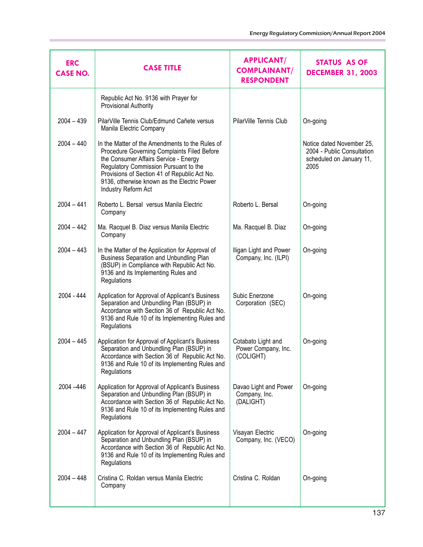| <b>ERC</b><br><b>CASE NO.</b> | <b>CASE TITLE</b>                                                                                                                                                                                                                                                                                      | <b>APPLICANT/</b><br><b>COMPLAINANT/</b><br><b>RESPONDENT</b> | <b>STATUS AS OF</b><br><b>DECEMBER 31, 2003</b>                                             |
|-------------------------------|--------------------------------------------------------------------------------------------------------------------------------------------------------------------------------------------------------------------------------------------------------------------------------------------------------|---------------------------------------------------------------|---------------------------------------------------------------------------------------------|
|                               | Republic Act No. 9136 with Prayer for<br>Provisional Authority                                                                                                                                                                                                                                         |                                                               |                                                                                             |
| $2004 - 439$                  | PilarVille Tennis Club/Edmund Cañete versus<br>Manila Electric Company                                                                                                                                                                                                                                 | PilarVille Tennis Club                                        | On-going                                                                                    |
| $2004 - 440$                  | In the Matter of the Amendments to the Rules of<br>Procedure Governing Complaints Filed Before<br>the Consumer Affairs Service - Energy<br>Regulatory Commission Pursuant to the<br>Provisions of Section 41 of Republic Act No.<br>9136, otherwise known as the Electric Power<br>Industry Reform Act |                                                               | Notice dated November 25,<br>2004 - Public Consultation<br>scheduled on January 11,<br>2005 |
| $2004 - 441$                  | Roberto L. Bersal versus Manila Electric<br>Company                                                                                                                                                                                                                                                    | Roberto L. Bersal                                             | On-going                                                                                    |
| $2004 - 442$                  | Ma. Racquel B. Diaz versus Manila Electric<br>Company                                                                                                                                                                                                                                                  | Ma. Racquel B. Diaz                                           | On-going                                                                                    |
| $2004 - 443$                  | In the Matter of the Application for Approval of<br>Business Separation and Unbundling Plan<br>(BSUP) in Compliance with Republic Act No.<br>9136 and its Implementing Rules and<br>Regulations                                                                                                        | Iligan Light and Power<br>Company, Inc. (ILPI)                | On-going                                                                                    |
| 2004 - 444                    | Application for Approval of Applicant's Business<br>Separation and Unbundling Plan (BSUP) in<br>Accordance with Section 36 of Republic Act No.<br>9136 and Rule 10 of its Implementing Rules and<br>Regulations                                                                                        | Subic Enerzone<br>Corporation (SEC)                           | On-going                                                                                    |
| $2004 - 445$                  | Application for Approval of Applicant's Business<br>Separation and Unbundling Plan (BSUP) in<br>Accordance with Section 36 of Republic Act No.<br>9136 and Rule 10 of its Implementing Rules and<br>Regulations                                                                                        | Cotabato Light and<br>Power Company, Inc.<br>(COLIGHT)        | On-going                                                                                    |
| 2004 - 446                    | Application for Approval of Applicant's Business<br>Separation and Unbundling Plan (BSUP) in<br>Accordance with Section 36 of Republic Act No.<br>9136 and Rule 10 of its Implementing Rules and<br>Regulations                                                                                        | Davao Light and Power<br>Company, Inc.<br>(DALIGHT)           | On-going                                                                                    |
| $2004 - 447$                  | Application for Approval of Applicant's Business<br>Separation and Unbundling Plan (BSUP) in<br>Accordance with Section 36 of Republic Act No.<br>9136 and Rule 10 of its Implementing Rules and<br>Regulations                                                                                        | Visayan Electric<br>Company, Inc. (VECO)                      | On-going                                                                                    |
| $2004 - 448$                  | Cristina C. Roldan versus Manila Electric<br>Company                                                                                                                                                                                                                                                   | Cristina C. Roldan                                            | On-going                                                                                    |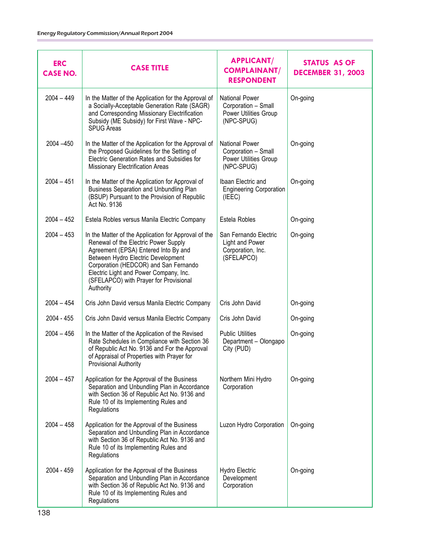| <b>ERC</b><br><b>CASE NO.</b> | <b>CASE TITLE</b>                                                                                                                                                                                                                                                                                                    | <b>APPLICANT/</b><br><b>COMPLAINANT/</b><br><b>RESPONDENT</b>                       | STATUS AS OF<br><b>DECEMBER 31, 2003</b> |
|-------------------------------|----------------------------------------------------------------------------------------------------------------------------------------------------------------------------------------------------------------------------------------------------------------------------------------------------------------------|-------------------------------------------------------------------------------------|------------------------------------------|
| $2004 - 449$                  | In the Matter of the Application for the Approval of<br>a Socially-Acceptable Generation Rate (SAGR)<br>and Corresponding Missionary Electrification<br>Subsidy (ME Subsidy) for First Wave - NPC-<br><b>SPUG Areas</b>                                                                                              | <b>National Power</b><br>Corporation - Small<br>Power Utilities Group<br>(NPC-SPUG) | On-going                                 |
| 2004 - 450                    | In the Matter of the Application for the Approval of<br>the Proposed Guidelines for the Setting of<br>Electric Generation Rates and Subsidies for<br>Missionary Electrification Areas                                                                                                                                | <b>National Power</b><br>Corporation - Small<br>Power Utilities Group<br>(NPC-SPUG) | On-going                                 |
| $2004 - 451$                  | In the Matter of the Application for Approval of<br>Business Separation and Unbundling Plan<br>(BSUP) Pursuant to the Provision of Republic<br>Act No. 9136                                                                                                                                                          | Ibaan Electric and<br><b>Engineering Corporation</b><br>(IEEE)                      | On-going                                 |
| $2004 - 452$                  | Estela Robles versus Manila Electric Company                                                                                                                                                                                                                                                                         | Estela Robles                                                                       | On-going                                 |
| $2004 - 453$                  | In the Matter of the Application for Approval of the<br>Renewal of the Electric Power Supply<br>Agreement (EPSA) Entered Into By and<br>Between Hydro Electric Development<br>Corporation (HEDCOR) and San Fernando<br>Electric Light and Power Company, Inc.<br>(SFELAPCO) with Prayer for Provisional<br>Authority | San Fernando Electric<br>Light and Power<br>Corporation, Inc.<br>(SFELAPCO)         | On-going                                 |
| $2004 - 454$                  | Cris John David versus Manila Electric Company                                                                                                                                                                                                                                                                       | Cris John David                                                                     | On-going                                 |
| 2004 - 455                    | Cris John David versus Manila Electric Company                                                                                                                                                                                                                                                                       | Cris John David                                                                     | On-going                                 |
| $2004 - 456$                  | In the Matter of the Application of the Revised<br>Rate Schedules in Compliance with Section 36<br>of Republic Act No. 9136 and For the Approval<br>of Appraisal of Properties with Prayer for<br>Provisional Authority                                                                                              | <b>Public Utilities</b><br>Department - Olongapo<br>City (PUD)                      | On-going                                 |
| $2004 - 457$                  | Application for the Approval of the Business<br>Separation and Unbundling Plan in Accordance<br>with Section 36 of Republic Act No. 9136 and<br>Rule 10 of its Implementing Rules and<br>Regulations                                                                                                                 | Northern Mini Hydro<br>Corporation                                                  | On-going                                 |
| $2004 - 458$                  | Application for the Approval of the Business<br>Separation and Unbundling Plan in Accordance<br>with Section 36 of Republic Act No. 9136 and<br>Rule 10 of its Implementing Rules and<br>Regulations                                                                                                                 | Luzon Hydro Corporation                                                             | On-going                                 |
| 2004 - 459                    | Application for the Approval of the Business<br>Separation and Unbundling Plan in Accordance<br>with Section 36 of Republic Act No. 9136 and<br>Rule 10 of its Implementing Rules and<br>Regulations                                                                                                                 | Hydro Electric<br>Development<br>Corporation                                        | On-going                                 |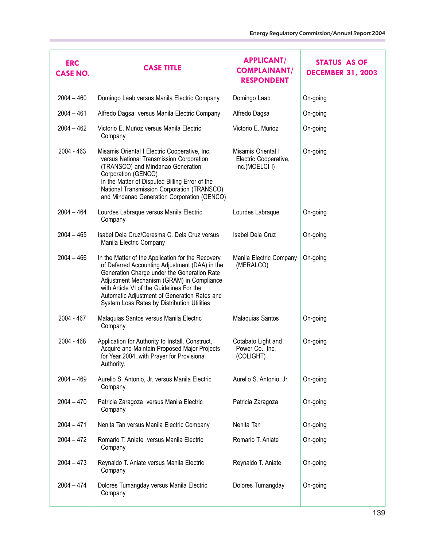| <b>ERC</b><br><b>CASE NO.</b> | <b>CASE TITLE</b>                                                                                                                                                                                                                                                                                                                           | <b>APPLICANT/</b><br><b>COMPLAINANT/</b><br><b>RESPONDENT</b> | <b>STATUS AS OF</b><br><b>DECEMBER 31, 2003</b> |
|-------------------------------|---------------------------------------------------------------------------------------------------------------------------------------------------------------------------------------------------------------------------------------------------------------------------------------------------------------------------------------------|---------------------------------------------------------------|-------------------------------------------------|
| $2004 - 460$                  | Domingo Laab versus Manila Electric Company                                                                                                                                                                                                                                                                                                 | Domingo Laab                                                  | On-going                                        |
| $2004 - 461$                  | Alfredo Dagsa versus Manila Electric Company                                                                                                                                                                                                                                                                                                | Alfredo Dagsa                                                 | On-going                                        |
| $2004 - 462$                  | Victorio E. Muñoz versus Manila Electric<br>Company                                                                                                                                                                                                                                                                                         | Victorio E. Muñoz                                             | On-going                                        |
| $2004 - 463$                  | Misamis Oriental I Electric Cooperative, Inc.<br>versus National Transmission Corporation<br>(TRANSCO) and Mindanao Generation<br>Corporation (GENCO)<br>In the Matter of Disputed Billing Error of the<br>National Transmission Corporation (TRANSCO)<br>and Mindanao Generation Corporation (GENCO)                                       | Misamis Oriental I<br>Electric Cooperative,<br>Inc.(MOELCI I) | On-going                                        |
| $2004 - 464$                  | Lourdes Labraque versus Manila Electric<br>Company                                                                                                                                                                                                                                                                                          | Lourdes Labraque                                              | On-going                                        |
| $2004 - 465$                  | Isabel Dela Cruz/Ceresma C. Dela Cruz versus<br>Manila Electric Company                                                                                                                                                                                                                                                                     | Isabel Dela Cruz                                              | On-going                                        |
| $2004 - 466$                  | In the Matter of the Application for the Recovery<br>of Deferred Accounting Adjustment (DAA) in the<br>Generation Charge under the Generation Rate<br>Adjustment Mechanism (GRAM) in Compliance<br>with Article VI of the Guidelines For the<br>Automatic Adjustment of Generation Rates and<br>System Loss Rates by Distribution Utilities | Manila Electric Company<br>(MERALCO)                          | On-going                                        |
| $2004 - 467$                  | Malaquias Santos versus Manila Electric<br>Company                                                                                                                                                                                                                                                                                          | Malaquias Santos                                              | On-going                                        |
| 2004 - 468                    | Application for Authority to Install, Construct,<br>Acquire and Maintain Proposed Major Projects<br>for Year 2004, with Prayer for Provisional<br>Authority.                                                                                                                                                                                | Cotabato Light and<br>Power Co., Inc.<br>(COLIGHT)            | On-going                                        |
| $2004 - 469$                  | Aurelio S. Antonio, Jr. versus Manila Electric<br>Company                                                                                                                                                                                                                                                                                   | Aurelio S. Antonio, Jr.                                       | On-going                                        |
| $2004 - 470$                  | Patricia Zaragoza versus Manila Electric<br>Company                                                                                                                                                                                                                                                                                         | Patricia Zaragoza                                             | On-going                                        |
| $2004 - 471$                  | Nenita Tan versus Manila Electric Company                                                                                                                                                                                                                                                                                                   | Nenita Tan                                                    | On-going                                        |
| $2004 - 472$                  | Romario T. Aniate versus Manila Electric<br>Company                                                                                                                                                                                                                                                                                         | Romario T. Aniate                                             | On-going                                        |
| $2004 - 473$                  | Reynaldo T. Aniate versus Manila Electric<br>Company                                                                                                                                                                                                                                                                                        | Reynaldo T. Aniate                                            | On-going                                        |
| $2004 - 474$                  | Dolores Tumangday versus Manila Electric<br>Company                                                                                                                                                                                                                                                                                         | Dolores Tumangday                                             | On-going                                        |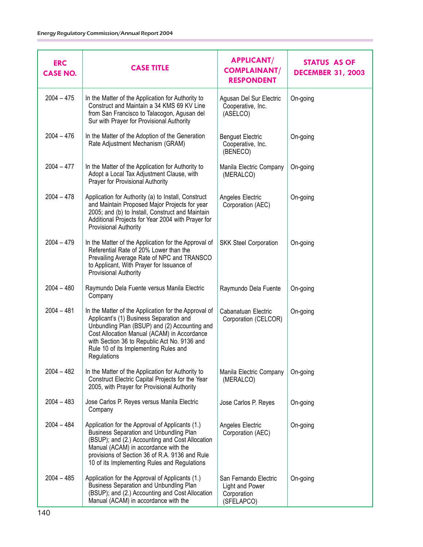| <b>ERC</b><br><b>CASE NO.</b> | <b>CASE TITLE</b>                                                                                                                                                                                                                                                                                       | <b>APPLICANT/</b><br><b>COMPLAINANT/</b><br><b>RESPONDENT</b>         | <b>STATUS AS OF</b><br><b>DECEMBER 31, 2003</b> |
|-------------------------------|---------------------------------------------------------------------------------------------------------------------------------------------------------------------------------------------------------------------------------------------------------------------------------------------------------|-----------------------------------------------------------------------|-------------------------------------------------|
| $2004 - 475$                  | In the Matter of the Application for Authority to<br>Construct and Maintain a 34 KMS 69 KV Line<br>from San Francisco to Talacogon, Agusan del<br>Sur with Prayer for Provisional Authority                                                                                                             | Agusan Del Sur Electric<br>Cooperative, Inc.<br>(ASELCO)              | On-going                                        |
| $2004 - 476$                  | In the Matter of the Adoption of the Generation<br>Rate Adjustment Mechanism (GRAM)                                                                                                                                                                                                                     | <b>Benguet Electric</b><br>Cooperative, Inc.<br>(BENECO)              | On-going                                        |
| $2004 - 477$                  | In the Matter of the Application for Authority to<br>Adopt a Local Tax Adjustment Clause, with<br>Prayer for Provisional Authority                                                                                                                                                                      | Manila Electric Company<br>(MERALCO)                                  | On-going                                        |
| $2004 - 478$                  | Application for Authority (a) to Install, Construct<br>and Maintain Proposed Major Projects for year<br>2005; and (b) to Install, Construct and Maintain<br>Additional Projects for Year 2004 with Prayer for<br>Provisional Authority                                                                  | Angeles Electric<br>Corporation (AEC)                                 | On-going                                        |
| $2004 - 479$                  | In the Matter of the Application for the Approval of<br>Referential Rate of 20% Lower than the<br>Prevailing Average Rate of NPC and TRANSCO<br>to Applicant, With Prayer for Issuance of<br>Provisional Authority                                                                                      | <b>SKK Steel Corporation</b>                                          | On-going                                        |
| $2004 - 480$                  | Raymundo Dela Fuente versus Manila Electric<br>Company                                                                                                                                                                                                                                                  | Raymundo Dela Fuente                                                  | On-going                                        |
| $2004 - 481$                  | In the Matter of the Application for the Approval of<br>Applicant's (1) Business Separation and<br>Unbundling Plan (BSUP) and (2) Accounting and<br>Cost Allocation Manual (ACAM) in Accordance<br>with Section 36 to Republic Act No. 9136 and<br>Rule 10 of its Implementing Rules and<br>Regulations | Cabanatuan Electric<br>Corporation (CELCOR)                           | On-going                                        |
| $2004 - 482$                  | In the Matter of the Application for Authority to<br>Construct Electric Capital Projects for the Year<br>2005, with Prayer for Provisional Authority                                                                                                                                                    | Manila Electric Company<br>(MERALCO)                                  | On-going                                        |
| $2004 - 483$                  | Jose Carlos P. Reyes versus Manila Electric<br>Company                                                                                                                                                                                                                                                  | Jose Carlos P. Reyes                                                  | On-going                                        |
| $2004 - 484$                  | Application for the Approval of Applicants (1.)<br><b>Business Separation and Unbundling Plan</b><br>(BSUP); and (2.) Accounting and Cost Allocation<br>Manual (ACAM) in accordance with the<br>provisions of Section 36 of R.A. 9136 and Rule<br>10 of its Implementing Rules and Regulations          | Angeles Electric<br>Corporation (AEC)                                 | On-going                                        |
| $2004 - 485$                  | Application for the Approval of Applicants (1.)<br><b>Business Separation and Unbundling Plan</b><br>(BSUP); and (2.) Accounting and Cost Allocation<br>Manual (ACAM) in accordance with the                                                                                                            | San Fernando Electric<br>Light and Power<br>Corporation<br>(SFELAPCO) | On-going                                        |